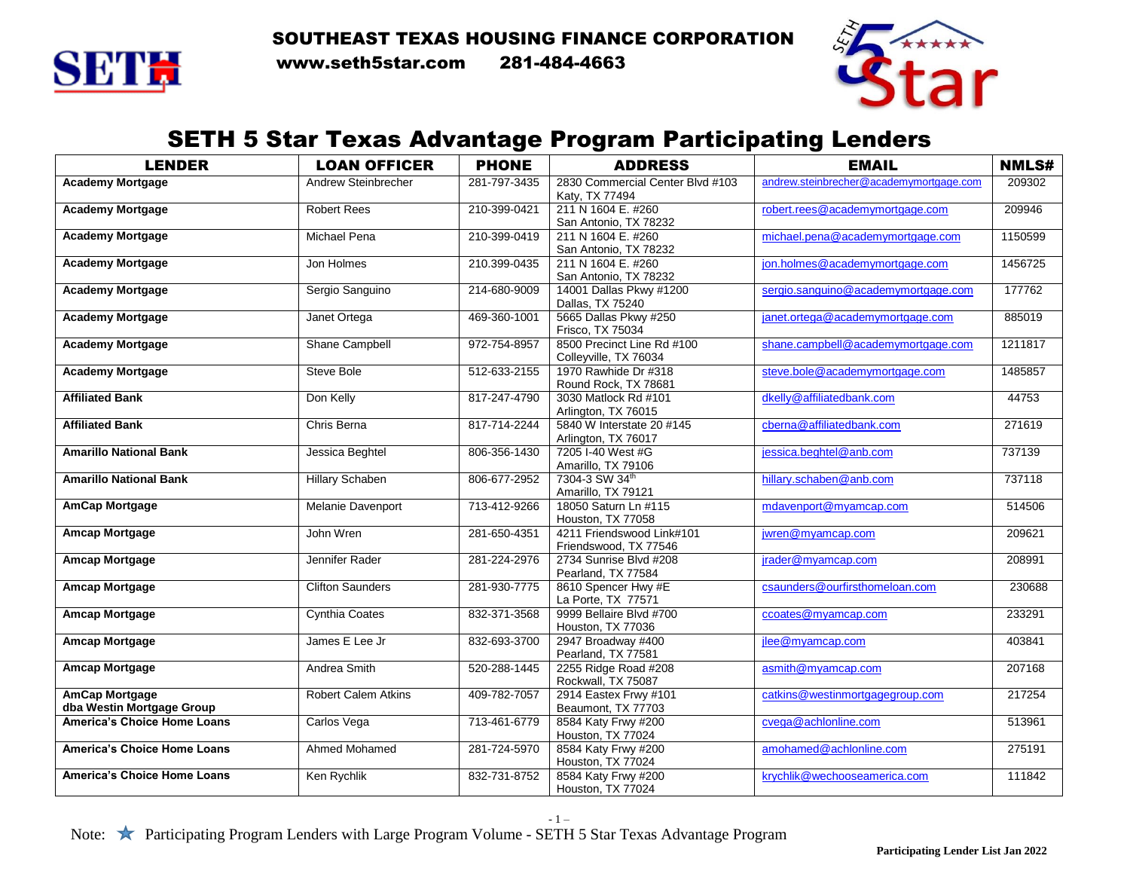SOUTHEAST TEXAS HOUSING FINANCE CORPORATION



SETTH www.seth5star.com 281-484-4663



## SETH 5 Star Texas Advantage Program Participating Lenders

| <b>LENDER</b>                               | <b>LOAN OFFICER</b>        | <b>PHONE</b> | <b>ADDRESS</b>                                      | <b>EMAIL</b>                            | <b>NMLS#</b> |
|---------------------------------------------|----------------------------|--------------|-----------------------------------------------------|-----------------------------------------|--------------|
| <b>Academy Mortgage</b>                     | Andrew Steinbrecher        | 281-797-3435 | 2830 Commercial Center Blvd #103<br>Katy, TX 77494  | andrew.steinbrecher@academymortgage.com | 209302       |
| <b>Academy Mortgage</b>                     | <b>Robert Rees</b>         | 210-399-0421 | 211 N 1604 E. #260<br>San Antonio, TX 78232         | robert.rees@academymortgage.com         | 209946       |
| <b>Academy Mortgage</b>                     | <b>Michael Pena</b>        | 210-399-0419 | 211 N 1604 E. #260<br>San Antonio, TX 78232         | michael.pena@academymortgage.com        | 1150599      |
| <b>Academy Mortgage</b>                     | Jon Holmes                 | 210.399-0435 | 211 N 1604 E. #260<br>San Antonio, TX 78232         | jon.holmes@academymortgage.com          | 1456725      |
| <b>Academy Mortgage</b>                     | Sergio Sanguino            | 214-680-9009 | 14001 Dallas Pkwy #1200<br>Dallas, TX 75240         | sergio.sanguino@academymortgage.com     | 177762       |
| <b>Academy Mortgage</b>                     | Janet Ortega               | 469-360-1001 | 5665 Dallas Pkwy #250<br>Frisco, TX 75034           | janet.ortega@academymortgage.com        | 885019       |
| <b>Academy Mortgage</b>                     | Shane Campbell             | 972-754-8957 | 8500 Precinct Line Rd #100<br>Colleyville, TX 76034 | shane.campbell@academymortgage.com      | 1211817      |
| <b>Academy Mortgage</b>                     | Steve Bole                 | 512-633-2155 | 1970 Rawhide Dr #318<br>Round Rock, TX 78681        | steve.bole@academymortgage.com          | 1485857      |
| <b>Affiliated Bank</b>                      | Don Kelly                  | 817-247-4790 | 3030 Matlock Rd #101<br>Arlington, TX 76015         | dkelly@affiliatedbank.com               | 44753        |
| <b>Affiliated Bank</b>                      | Chris Berna                | 817-714-2244 | 5840 W Interstate 20 #145<br>Arlington, TX 76017    | cberna@affiliatedbank.com               | 271619       |
| <b>Amarillo National Bank</b>               | Jessica Beghtel            | 806-356-1430 | 7205 I-40 West #G<br>Amarillo, TX 79106             | jessica.beghtel@anb.com                 | 737139       |
| <b>Amarillo National Bank</b>               | <b>Hillary Schaben</b>     | 806-677-2952 | 7304-3 SW 34th<br>Amarillo, TX 79121                | hillary.schaben@anb.com                 | 737118       |
| <b>AmCap Mortgage</b>                       | Melanie Davenport          | 713-412-9266 | 18050 Saturn Ln #115<br>Houston, TX 77058           | mdavenport@myamcap.com                  | 514506       |
| <b>Amcap Mortgage</b>                       | John Wren                  | 281-650-4351 | 4211 Friendswood Link#101<br>Friendswood, TX 77546  | jwren@myamcap.com                       | 209621       |
| <b>Amcap Mortgage</b>                       | Jennifer Rader             | 281-224-2976 | 2734 Sunrise Blvd #208<br>Pearland, TX 77584        | jrader@myamcap.com                      | 208991       |
| <b>Amcap Mortgage</b>                       | <b>Clifton Saunders</b>    | 281-930-7775 | 8610 Spencer Hwy #E<br>La Porte, TX 77571           | csaunders@ourfirsthomeloan.com          | 230688       |
| <b>Amcap Mortgage</b>                       | <b>Cynthia Coates</b>      | 832-371-3568 | 9999 Bellaire Blvd #700<br>Houston, TX 77036        | ccoates@myamcap.com                     | 233291       |
| <b>Amcap Mortgage</b>                       | James E Lee Jr             | 832-693-3700 | 2947 Broadway #400<br>Pearland, TX 77581            | jlee@myamcap.com                        | 403841       |
| <b>Amcap Mortgage</b>                       | Andrea Smith               | 520-288-1445 | 2255 Ridge Road #208<br>Rockwall, TX 75087          | asmith@myamcap.com                      | 207168       |
| AmCap Mortgage<br>dba Westin Mortgage Group | <b>Robert Calem Atkins</b> | 409-782-7057 | 2914 Eastex Frwy #101<br>Beaumont, TX 77703         | catkins@westinmortgagegroup.com         | 217254       |
| <b>America's Choice Home Loans</b>          | Carlos Vega                | 713-461-6779 | 8584 Katy Frwy #200<br>Houston, TX 77024            | cvega@achlonline.com                    | 513961       |
| <b>America's Choice Home Loans</b>          | Ahmed Mohamed              | 281-724-5970 | 8584 Katy Frwy #200<br>Houston, TX 77024            | amohamed@achlonline.com                 | 275191       |
| <b>America's Choice Home Loans</b>          | Ken Rychlik                | 832-731-8752 | 8584 Katy Frwy #200<br>Houston, TX 77024            | krychlik@wechooseamerica.com            | 111842       |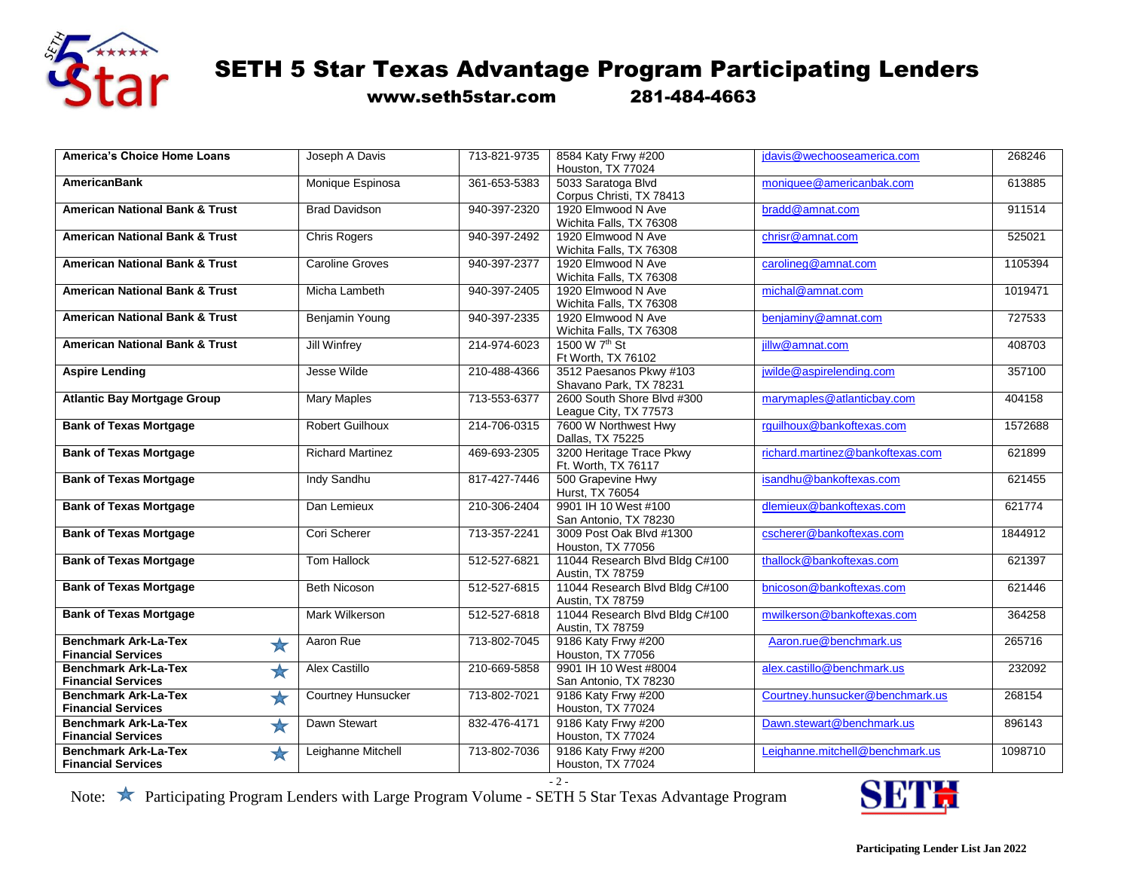

www.seth5star.com 281-484-4663

| <b>America's Choice Home Loans</b>        | Joseph A Davis            | 713-821-9735 | 8584 Katy Frwy #200                             | jdavis@wechooseamerica.com       | 268246  |
|-------------------------------------------|---------------------------|--------------|-------------------------------------------------|----------------------------------|---------|
|                                           |                           |              | Houston, TX 77024                               |                                  |         |
| <b>AmericanBank</b>                       | Monique Espinosa          | 361-653-5383 | 5033 Saratoga Blvd                              | moniquee@americanbak.com         | 613885  |
|                                           |                           |              | Corpus Christi, TX 78413                        |                                  |         |
| <b>American National Bank &amp; Trust</b> | <b>Brad Davidson</b>      | 940-397-2320 | 1920 Elmwood N Ave                              | bradd@amnat.com                  | 911514  |
|                                           |                           |              | Wichita Falls, TX 76308                         |                                  |         |
| <b>American National Bank &amp; Trust</b> | Chris Rogers              | 940-397-2492 | 1920 Elmwood N Ave                              | chrisr@amnat.com                 | 525021  |
| <b>American National Bank &amp; Trust</b> | <b>Caroline Groves</b>    | 940-397-2377 | Wichita Falls, TX 76308<br>1920 Elmwood N Ave   | carolineg@amnat.com              | 1105394 |
|                                           |                           |              | Wichita Falls, TX 76308                         |                                  |         |
| <b>American National Bank &amp; Trust</b> | Micha Lambeth             | 940-397-2405 | 1920 Elmwood N Ave                              | michal@amnat.com                 | 1019471 |
|                                           |                           |              | Wichita Falls, TX 76308                         |                                  |         |
| <b>American National Bank &amp; Trust</b> | Benjamin Young            | 940-397-2335 | 1920 Elmwood N Ave                              | benjaminy@amnat.com              | 727533  |
|                                           |                           |              | Wichita Falls, TX 76308                         |                                  |         |
| <b>American National Bank &amp; Trust</b> | <b>Jill Winfrey</b>       | 214-974-6023 | 1500 W 7 <sup>th</sup> St                       | iillw@amnat.com                  | 408703  |
|                                           |                           |              | Ft Worth, TX 76102                              |                                  |         |
| <b>Aspire Lending</b>                     | Jesse Wilde               | 210-488-4366 | 3512 Paesanos Pkwy #103                         | jwilde@aspirelending.com         | 357100  |
|                                           |                           |              | Shavano Park, TX 78231                          |                                  |         |
| <b>Atlantic Bay Mortgage Group</b>        | <b>Mary Maples</b>        | 713-553-6377 | 2600 South Shore Blvd #300                      | marymaples@atlanticbay.com       | 404158  |
|                                           |                           |              | League City, TX 77573                           |                                  |         |
| <b>Bank of Texas Mortgage</b>             | <b>Robert Guilhoux</b>    | 214-706-0315 | 7600 W Northwest Hwy                            | rguilhoux@bankoftexas.com        | 1572688 |
|                                           |                           |              | Dallas, TX 75225                                |                                  |         |
| <b>Bank of Texas Mortgage</b>             | <b>Richard Martinez</b>   | 469-693-2305 | 3200 Heritage Trace Pkwy<br>Ft. Worth, TX 76117 | richard.martinez@bankoftexas.com | 621899  |
| <b>Bank of Texas Mortgage</b>             | Indy Sandhu               | 817-427-7446 | 500 Grapevine Hwy                               | isandhu@bankoftexas.com          | 621455  |
|                                           |                           |              | Hurst, TX 76054                                 |                                  |         |
| <b>Bank of Texas Mortgage</b>             | Dan Lemieux               | 210-306-2404 | 9901 IH 10 West #100                            | dlemieux@bankoftexas.com         | 621774  |
|                                           |                           |              | San Antonio, TX 78230                           |                                  |         |
| <b>Bank of Texas Mortgage</b>             | Cori Scherer              | 713-357-2241 | 3009 Post Oak Blvd #1300                        | cscherer@bankoftexas.com         | 1844912 |
|                                           |                           |              | Houston, TX 77056                               |                                  |         |
| <b>Bank of Texas Mortgage</b>             | <b>Tom Hallock</b>        | 512-527-6821 | 11044 Research Blvd Bldg C#100                  | thallock@bankoftexas.com         | 621397  |
|                                           |                           |              | Austin, TX 78759                                |                                  |         |
| <b>Bank of Texas Mortgage</b>             | Beth Nicoson              | 512-527-6815 | 11044 Research Blvd Bldg C#100                  | bnicoson@bankoftexas.com         | 621446  |
|                                           |                           |              | Austin, TX 78759                                |                                  |         |
| <b>Bank of Texas Mortgage</b>             | Mark Wilkerson            | 512-527-6818 | 11044 Research Blvd Bldg C#100                  | mwilkerson@bankoftexas.com       | 364258  |
| <b>Benchmark Ark-La-Tex</b>               | Aaron Rue                 | 713-802-7045 | Austin, TX 78759<br>9186 Katy Frwy #200         | Aaron.rue@benchmark.us           | 265716  |
| $\bigstar$<br><b>Financial Services</b>   |                           |              | Houston, TX 77056                               |                                  |         |
| <b>Benchmark Ark-La-Tex</b>               | Alex Castillo             | 210-669-5858 | 9901 IH 10 West #8004                           | alex.castillo@benchmark.us       | 232092  |
| ★<br><b>Financial Services</b>            |                           |              | San Antonio, TX 78230                           |                                  |         |
| <b>Benchmark Ark-La-Tex</b><br>$\bigstar$ | <b>Courtney Hunsucker</b> | 713-802-7021 | 9186 Katy Frwy #200                             | Courtney.hunsucker@benchmark.us  | 268154  |
| <b>Financial Services</b>                 |                           |              | Houston, TX 77024                               |                                  |         |
| <b>Benchmark Ark-La-Tex</b><br>★          | Dawn Stewart              | 832-476-4171 | 9186 Katy Frwy #200                             | Dawn.stewart@benchmark.us        | 896143  |
| <b>Financial Services</b>                 |                           |              | Houston, TX 77024                               |                                  |         |
| <b>Benchmark Ark-La-Tex</b><br>$\bigstar$ | Leighanne Mitchell        | 713-802-7036 | 9186 Katy Frwy #200                             | Leighanne.mitchell@benchmark.us  | 1098710 |
| <b>Financial Services</b>                 |                           |              | Houston, TX 77024                               |                                  |         |

 $-2-$ 

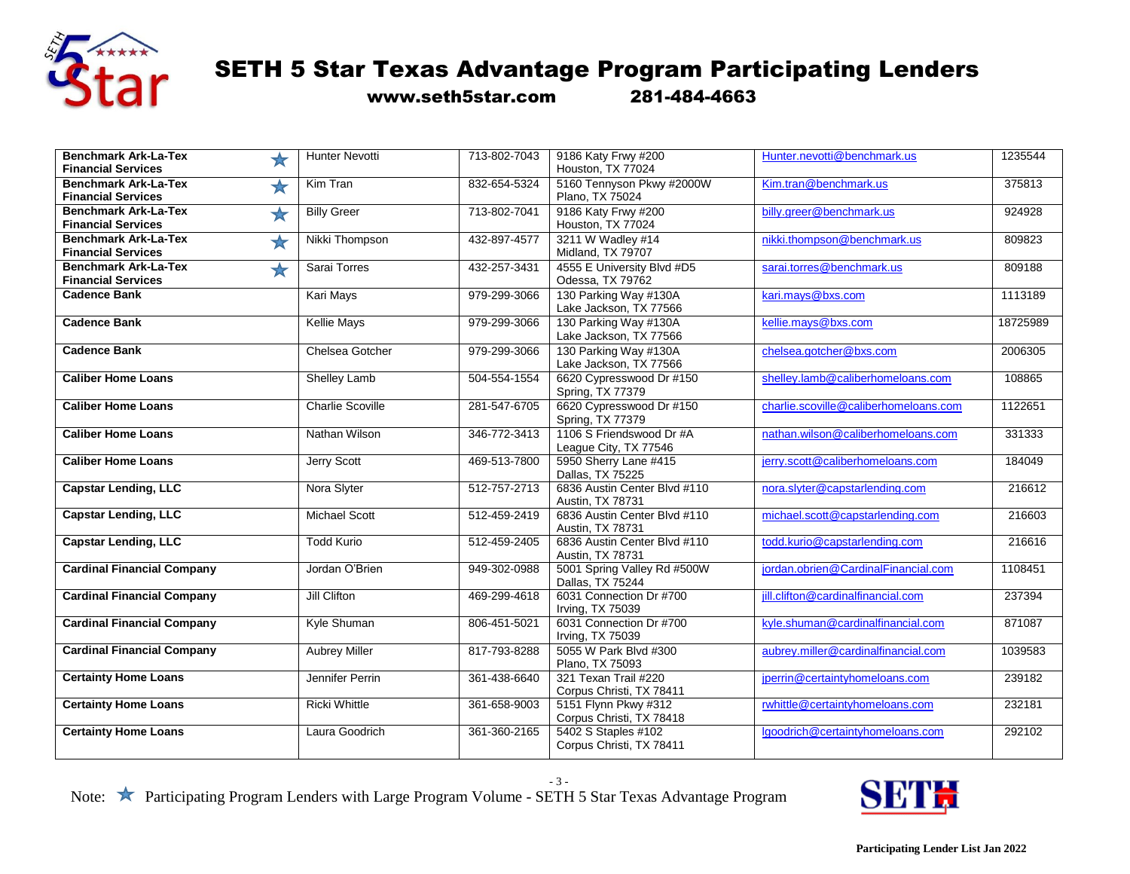

www.seth5star.com 281-484-4663

| <b>Benchmark Ark-La-Tex</b><br>$\bigstar$<br><b>Financial Services</b> | <b>Hunter Nevotti</b>   | 713-802-7043 | 9186 Katy Frwy #200<br>Houston, TX 77024          | Hunter.nevotti@benchmark.us           | 1235544  |
|------------------------------------------------------------------------|-------------------------|--------------|---------------------------------------------------|---------------------------------------|----------|
| <b>Benchmark Ark-La-Tex</b><br>$\bigstar$<br><b>Financial Services</b> | Kim Tran                | 832-654-5324 | 5160 Tennyson Pkwy #2000W<br>Plano, TX 75024      | Kim.tran@benchmark.us                 | 375813   |
| <b>Benchmark Ark-La-Tex</b><br>$\bigstar$<br><b>Financial Services</b> | <b>Billy Greer</b>      | 713-802-7041 | 9186 Katy Frwy #200<br>Houston, TX 77024          | billy.greer@benchmark.us              | 924928   |
| <b>Benchmark Ark-La-Tex</b><br>★<br><b>Financial Services</b>          | Nikki Thompson          | 432-897-4577 | 3211 W Wadley #14<br>Midland, TX 79707            | nikki.thompson@benchmark.us           | 809823   |
| <b>Benchmark Ark-La-Tex</b><br>$\bigstar$<br><b>Financial Services</b> | Sarai Torres            | 432-257-3431 | 4555 E University Blvd #D5<br>Odessa, TX 79762    | sarai.torres@benchmark.us             | 809188   |
| <b>Cadence Bank</b>                                                    | Kari Mays               | 979-299-3066 | 130 Parking Way #130A<br>Lake Jackson, TX 77566   | kari.mays@bxs.com                     | 1113189  |
| <b>Cadence Bank</b>                                                    | <b>Kellie Mays</b>      | 979-299-3066 | 130 Parking Way #130A<br>Lake Jackson, TX 77566   | kellie.mays@bxs.com                   | 18725989 |
| <b>Cadence Bank</b>                                                    | Chelsea Gotcher         | 979-299-3066 | 130 Parking Way #130A<br>Lake Jackson, TX 77566   | chelsea.gotcher@bxs.com               | 2006305  |
| <b>Caliber Home Loans</b>                                              | Shelley Lamb            | 504-554-1554 | 6620 Cypresswood Dr #150<br>Spring, TX 77379      | shelley.lamb@caliberhomeloans.com     | 108865   |
| <b>Caliber Home Loans</b>                                              | <b>Charlie Scoville</b> | 281-547-6705 | 6620 Cypresswood Dr #150<br>Spring, TX 77379      | charlie.scoville@caliberhomeloans.com | 1122651  |
| <b>Caliber Home Loans</b>                                              | Nathan Wilson           | 346-772-3413 | 1106 S Friendswood Dr #A<br>League City, TX 77546 | nathan.wilson@caliberhomeloans.com    | 331333   |
| <b>Caliber Home Loans</b>                                              | Jerry Scott             | 469-513-7800 | 5950 Sherry Lane #415<br>Dallas, TX 75225         | jerry.scott@caliberhomeloans.com      | 184049   |
| <b>Capstar Lending, LLC</b>                                            | Nora Slyter             | 512-757-2713 | 6836 Austin Center Blvd #110<br>Austin, TX 78731  | nora.slyter@capstarlending.com        | 216612   |
| <b>Capstar Lending, LLC</b>                                            | <b>Michael Scott</b>    | 512-459-2419 | 6836 Austin Center Blvd #110<br>Austin, TX 78731  | michael.scott@capstarlending.com      | 216603   |
| <b>Capstar Lending, LLC</b>                                            | <b>Todd Kurio</b>       | 512-459-2405 | 6836 Austin Center Blvd #110<br>Austin, TX 78731  | todd.kurio@capstarlending.com         | 216616   |
| <b>Cardinal Financial Company</b>                                      | Jordan O'Brien          | 949-302-0988 | 5001 Spring Valley Rd #500W<br>Dallas, TX 75244   | jordan.obrien@CardinalFinancial.com   | 1108451  |
| <b>Cardinal Financial Company</b>                                      | Jill Clifton            | 469-299-4618 | 6031 Connection Dr #700<br>Irving, TX 75039       | jill.clifton@cardinalfinancial.com    | 237394   |
| <b>Cardinal Financial Company</b>                                      | Kyle Shuman             | 806-451-5021 | 6031 Connection Dr #700<br>Irving, TX 75039       | kyle.shuman@cardinalfinancial.com     | 871087   |
| <b>Cardinal Financial Company</b>                                      | <b>Aubrey Miller</b>    | 817-793-8288 | 5055 W Park Blvd #300<br>Plano, TX 75093          | aubrey.miller@cardinalfinancial.com   | 1039583  |
| <b>Certainty Home Loans</b>                                            | Jennifer Perrin         | 361-438-6640 | 321 Texan Trail #220<br>Corpus Christi, TX 78411  | jperrin@certaintyhomeloans.com        | 239182   |
| <b>Certainty Home Loans</b>                                            | <b>Ricki Whittle</b>    | 361-658-9003 | 5151 Flynn Pkwy #312<br>Corpus Christi, TX 78418  | rwhittle@certaintyhomeloans.com       | 232181   |
| <b>Certainty Home Loans</b>                                            | Laura Goodrich          | 361-360-2165 | 5402 S Staples #102<br>Corpus Christi, TX 78411   | lgoodrich@certaintyhomeloans.com      | 292102   |

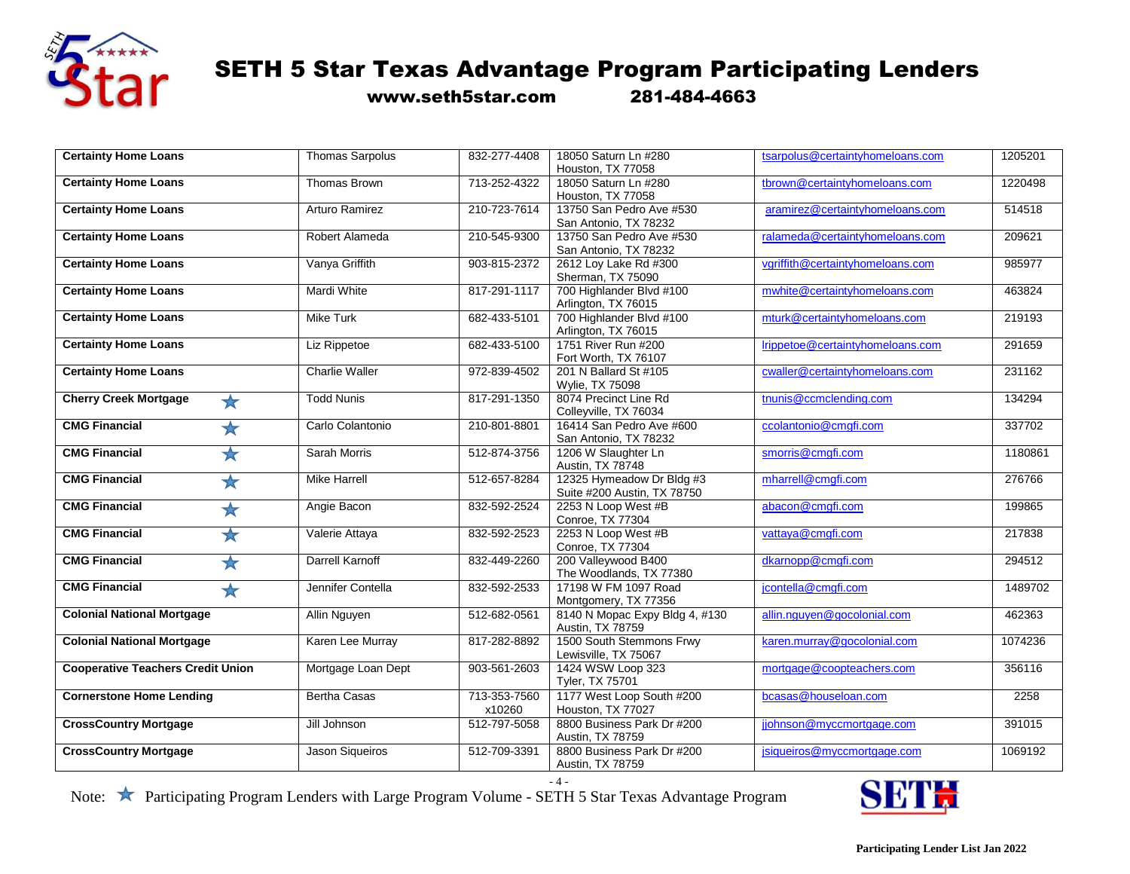

www.seth5star.com 281-484-4663

| <b>Certainty Home Loans</b>                   | <b>Thomas Sarpolus</b> | 832-277-4408 | 18050 Saturn Ln #280<br>Houston, TX 77058 | tsarpolus@certaintyhomeloans.com | 1205201 |
|-----------------------------------------------|------------------------|--------------|-------------------------------------------|----------------------------------|---------|
| <b>Certainty Home Loans</b>                   | Thomas Brown           | 713-252-4322 | 18050 Saturn Ln #280                      | tbrown@certaintyhomeloans.com    | 1220498 |
|                                               |                        |              | Houston, TX 77058                         |                                  |         |
| <b>Certainty Home Loans</b>                   | Arturo Ramirez         | 210-723-7614 | 13750 San Pedro Ave #530                  | aramirez@certaintyhomeloans.com  | 514518  |
|                                               |                        |              | San Antonio, TX 78232                     |                                  |         |
| <b>Certainty Home Loans</b>                   | Robert Alameda         | 210-545-9300 | 13750 San Pedro Ave #530                  | ralameda@certaintyhomeloans.com  | 209621  |
|                                               |                        |              | San Antonio, TX 78232                     |                                  |         |
| <b>Certainty Home Loans</b>                   | Vanya Griffith         | 903-815-2372 | 2612 Loy Lake Rd #300                     | vgriffith@certaintyhomeloans.com | 985977  |
|                                               |                        |              | Sherman, TX 75090                         |                                  |         |
| <b>Certainty Home Loans</b>                   | <b>Mardi White</b>     | 817-291-1117 | 700 Highlander Blvd #100                  | mwhite@certaintyhomeloans.com    | 463824  |
|                                               |                        |              | Arlington, TX 76015                       |                                  |         |
| <b>Certainty Home Loans</b>                   | <b>Mike Turk</b>       | 682-433-5101 | 700 Highlander Blvd #100                  | mturk@certaintyhomeloans.com     | 219193  |
|                                               |                        |              | Arlington, TX 76015                       |                                  |         |
| <b>Certainty Home Loans</b>                   | Liz Rippetoe           | 682-433-5100 | 1751 River Run #200                       | Irippetoe@certaintyhomeloans.com | 291659  |
|                                               |                        |              | Fort Worth, TX 76107                      |                                  |         |
|                                               |                        |              |                                           |                                  |         |
| <b>Certainty Home Loans</b>                   | Charlie Waller         | 972-839-4502 | 201 N Ballard St #105                     | cwaller@certaintyhomeloans.com   | 231162  |
|                                               |                        |              | Wylie, TX 75098                           |                                  |         |
| <b>Cherry Creek Mortgage</b><br>$\frac{1}{2}$ | <b>Todd Nunis</b>      | 817-291-1350 | 8074 Precinct Line Rd                     | tnunis@ccmclending.com           | 134294  |
|                                               |                        |              | Colleyville, TX 76034                     |                                  |         |
| <b>CMG Financial</b>                          | Carlo Colantonio       | 210-801-8801 | 16414 San Pedro Ave #600                  | ccolantonio@cmgfi.com            | 337702  |
| $\bigstar$                                    |                        |              |                                           |                                  |         |
|                                               |                        |              | San Antonio, TX 78232                     |                                  |         |
| <b>CMG Financial</b><br>$\bigstar$            | Sarah Morris           | 512-874-3756 | 1206 W Slaughter Ln                       | smorris@cmgfi.com                | 1180861 |
|                                               |                        |              | Austin, TX 78748                          |                                  |         |
| <b>CMG Financial</b><br>$\bigstar$            | <b>Mike Harrell</b>    | 512-657-8284 | 12325 Hymeadow Dr Bldg #3                 | mharrell@cmgfi.com               | 276766  |
|                                               |                        |              | Suite #200 Austin, TX 78750               |                                  |         |
| <b>CMG Financial</b>                          | Angie Bacon            | 832-592-2524 | 2253 N Loop West #B                       | abacon@cmgfi.com                 | 199865  |
| $\bigstar$                                    |                        |              |                                           |                                  |         |
|                                               |                        |              | <b>Conroe, TX 77304</b>                   |                                  |         |
| <b>CMG Financial</b><br>$\bigstar$            | Valerie Attaya         | 832-592-2523 | 2253 N Loop West #B                       | vattaya@cmgfi.com                | 217838  |
|                                               |                        |              | <b>Conroe, TX 77304</b>                   |                                  |         |
| <b>CMG Financial</b><br>$\bigstar$            | Darrell Karnoff        | 832-449-2260 | 200 Valleywood B400                       | dkarnopp@cmgfi.com               | 294512  |
|                                               |                        |              | The Woodlands, TX 77380                   |                                  |         |
| <b>CMG Financial</b><br>$\bigstar$            | Jennifer Contella      | 832-592-2533 | 17198 W FM 1097 Road                      | jcontella@cmgfi.com              | 1489702 |
|                                               |                        |              | Montgomery, TX 77356                      |                                  |         |
|                                               |                        |              |                                           |                                  |         |
| <b>Colonial National Mortgage</b>             | Allin Nguyen           | 512-682-0561 | 8140 N Mopac Expy Bldg 4, #130            | allin.nguyen@gocolonial.com      | 462363  |
|                                               |                        |              | Austin, TX 78759                          |                                  |         |
| <b>Colonial National Mortgage</b>             | Karen Lee Murray       | 817-282-8892 | 1500 South Stemmons Frwy                  | karen.murray@gocolonial.com      | 1074236 |
|                                               |                        |              | Lewisville, TX 75067                      |                                  |         |
| <b>Cooperative Teachers Credit Union</b>      | Mortgage Loan Dept     | 903-561-2603 | 1424 WSW Loop 323                         | mortgage@coopteachers.com        | 356116  |
|                                               |                        |              | Tyler, TX 75701                           |                                  |         |
|                                               |                        |              |                                           |                                  |         |
| <b>Cornerstone Home Lending</b>               | <b>Bertha Casas</b>    | 713-353-7560 | 1177 West Loop South #200                 | bcasas@houseloan.com             | 2258    |
|                                               |                        | x10260       | Houston, TX 77027                         |                                  |         |
| <b>CrossCountry Mortgage</b>                  | Jill Johnson           | 512-797-5058 | 8800 Business Park Dr #200                | jjohnson@myccmortgage.com        | 391015  |
|                                               |                        |              | Austin, TX 78759                          |                                  |         |
|                                               |                        | 512-709-3391 | 8800 Business Park Dr #200                |                                  | 1069192 |
| <b>CrossCountry Mortgage</b>                  | Jason Sigueiros        |              |                                           | jsiqueiros@myccmortgage.com      |         |
|                                               |                        |              | Austin, TX 78759                          |                                  |         |

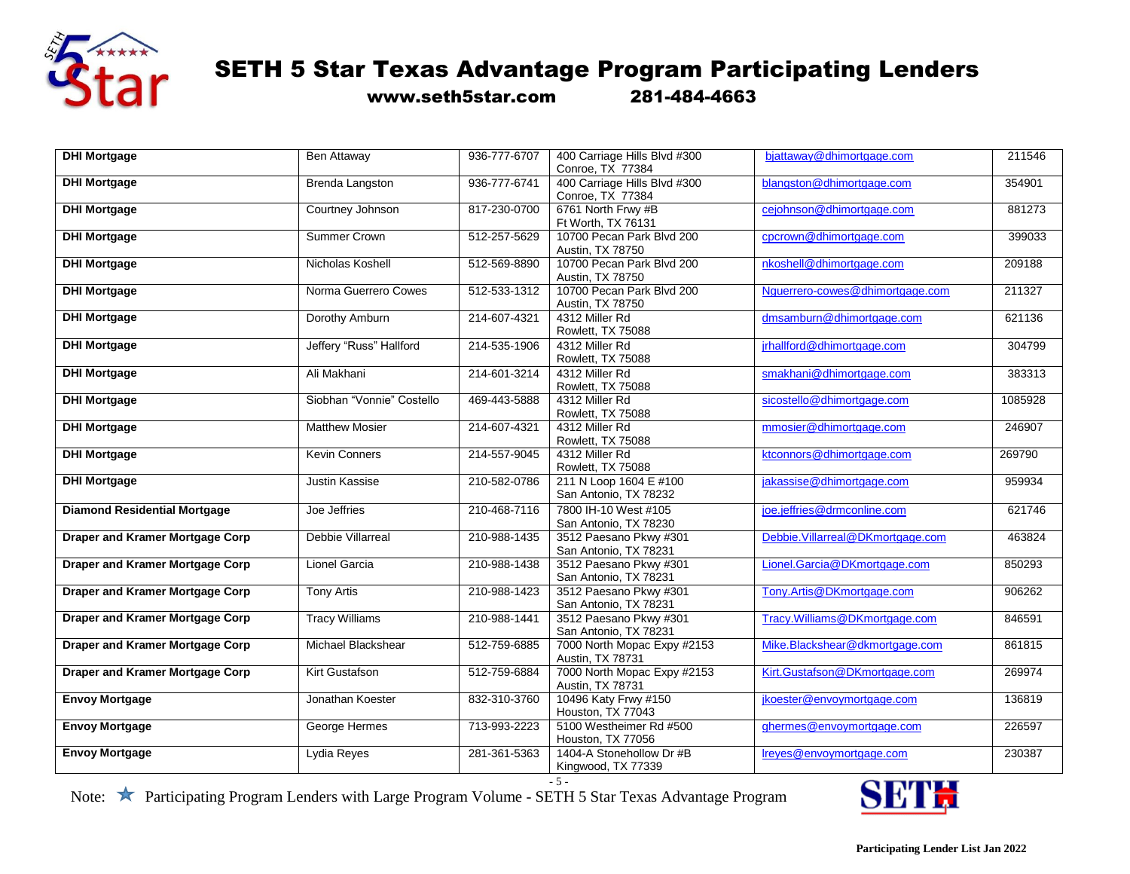

www.seth5star.com 281-484-4663

| <b>DHI Mortgage</b>                    | Ben Attaway               | 936-777-6707 | 400 Carriage Hills Blvd #300<br>Conroe, TX 77384 | bjattaway@dhimortgage.com        | 211546  |
|----------------------------------------|---------------------------|--------------|--------------------------------------------------|----------------------------------|---------|
| <b>DHI Mortgage</b>                    | <b>Brenda Langston</b>    | 936-777-6741 | 400 Carriage Hills Blvd #300<br>Conroe, TX 77384 | blangston@dhimortgage.com        | 354901  |
| <b>DHI Mortgage</b>                    | Courtney Johnson          | 817-230-0700 | 6761 North Frwy #B<br>Ft Worth, TX 76131         | cejohnson@dhimortgage.com        | 881273  |
| <b>DHI Mortgage</b>                    | <b>Summer Crown</b>       | 512-257-5629 | 10700 Pecan Park Blvd 200<br>Austin, TX 78750    | cpcrown@dhimortgage.com          | 399033  |
| <b>DHI Mortgage</b>                    | Nicholas Koshell          | 512-569-8890 | 10700 Pecan Park Blvd 200<br>Austin, TX 78750    | nkoshell@dhimortgage.com         | 209188  |
| <b>DHI Mortgage</b>                    | Norma Guerrero Cowes      | 512-533-1312 | 10700 Pecan Park Blvd 200<br>Austin, TX 78750    | Nquerrero-cowes@dhimortgage.com  | 211327  |
| <b>DHI Mortgage</b>                    | Dorothy Amburn            | 214-607-4321 | 4312 Miller Rd<br>Rowlett, TX 75088              | dmsamburn@dhimortgage.com        | 621136  |
| <b>DHI Mortgage</b>                    | Jeffery "Russ" Hallford   | 214-535-1906 | 4312 Miller Rd<br>Rowlett, TX 75088              | jrhallford@dhimortgage.com       | 304799  |
| <b>DHI Mortgage</b>                    | Ali Makhani               | 214-601-3214 | 4312 Miller Rd<br>Rowlett, TX 75088              | smakhani@dhimortgage.com         | 383313  |
| <b>DHI Mortgage</b>                    | Siobhan "Vonnie" Costello | 469-443-5888 | 4312 Miller Rd<br>Rowlett, TX 75088              | sicostello@dhimortgage.com       | 1085928 |
| <b>DHI Mortgage</b>                    | <b>Matthew Mosier</b>     | 214-607-4321 | 4312 Miller Rd<br>Rowlett, TX 75088              | mmosier@dhimortgage.com          | 246907  |
| <b>DHI Mortgage</b>                    | <b>Kevin Conners</b>      | 214-557-9045 | 4312 Miller Rd<br>Rowlett, TX 75088              | ktconnors@dhimortgage.com        | 269790  |
| <b>DHI Mortgage</b>                    | <b>Justin Kassise</b>     | 210-582-0786 | 211 N Loop 1604 E #100<br>San Antonio, TX 78232  | jakassise@dhimortgage.com        | 959934  |
| <b>Diamond Residential Mortgage</b>    | Joe Jeffries              | 210-468-7116 | 7800 IH-10 West #105<br>San Antonio, TX 78230    | joe.jeffries@drmconline.com      | 621746  |
| <b>Draper and Kramer Mortgage Corp</b> | <b>Debbie Villarreal</b>  | 210-988-1435 | 3512 Paesano Pkwy #301<br>San Antonio, TX 78231  | Debbie.Villarreal@DKmortgage.com | 463824  |
| <b>Draper and Kramer Mortgage Corp</b> | Lionel Garcia             | 210-988-1438 | 3512 Paesano Pkwy #301<br>San Antonio, TX 78231  | Lionel.Garcia@DKmortgage.com     | 850293  |
| <b>Draper and Kramer Mortgage Corp</b> | <b>Tony Artis</b>         | 210-988-1423 | 3512 Paesano Pkwy #301<br>San Antonio, TX 78231  | Tony.Artis@DKmortgage.com        | 906262  |
| <b>Draper and Kramer Mortgage Corp</b> | <b>Tracy Williams</b>     | 210-988-1441 | 3512 Paesano Pkwy #301<br>San Antonio, TX 78231  | Tracy.Williams@DKmortgage.com    | 846591  |
| <b>Draper and Kramer Mortgage Corp</b> | Michael Blackshear        | 512-759-6885 | 7000 North Mopac Expy #2153<br>Austin, TX 78731  | Mike.Blackshear@dkmortgage.com   | 861815  |
| <b>Draper and Kramer Mortgage Corp</b> | Kirt Gustafson            | 512-759-6884 | 7000 North Mopac Expy #2153<br>Austin, TX 78731  | Kirt.Gustafson@DKmortgage.com    | 269974  |
| <b>Envoy Mortgage</b>                  | Jonathan Koester          | 832-310-3760 | 10496 Katy Frwy #150<br>Houston, TX 77043        | jkoester@envoymortgage.com       | 136819  |
| <b>Envoy Mortgage</b>                  | George Hermes             | 713-993-2223 | 5100 Westheimer Rd #500<br>Houston, TX 77056     | ghermes@envoymortgage.com        | 226597  |
| <b>Envoy Mortgage</b>                  | Lydia Reyes               | 281-361-5363 | 1404-A Stonehollow Dr #B<br>Kingwood, TX 77339   | Ireyes@envoymortgage.com         | 230387  |

 $-5 -$ 

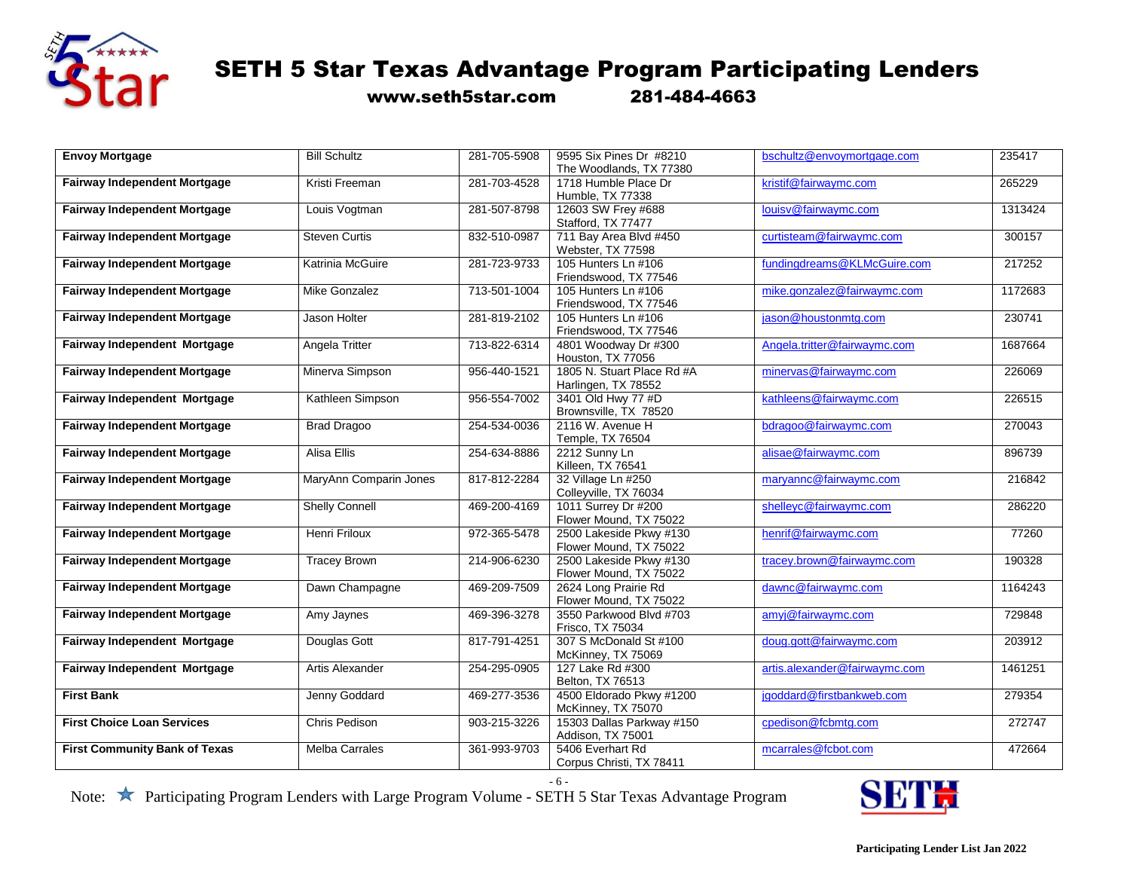

www.seth5star.com 281-484-4663

| <b>Envoy Mortgage</b>                | <b>Bill Schultz</b>    | 281-705-5908 | 9595 Six Pines Dr #8210    | bschultz@envoymortgage.com    | 235417  |
|--------------------------------------|------------------------|--------------|----------------------------|-------------------------------|---------|
|                                      |                        |              | The Woodlands, TX 77380    |                               |         |
| <b>Fairway Independent Mortgage</b>  | Kristi Freeman         | 281-703-4528 | 1718 Humble Place Dr       | kristif@fairwaymc.com         | 265229  |
|                                      |                        |              | Humble, TX 77338           |                               |         |
| <b>Fairway Independent Mortgage</b>  | Louis Vogtman          | 281-507-8798 | 12603 SW Frey #688         | louisv@fairwaymc.com          | 1313424 |
|                                      |                        |              | Stafford, TX 77477         |                               |         |
| <b>Fairway Independent Mortgage</b>  | <b>Steven Curtis</b>   | 832-510-0987 | 711 Bay Area Blvd #450     | curtisteam@fairwaymc.com      | 300157  |
|                                      |                        |              | Webster, TX 77598          |                               |         |
| <b>Fairway Independent Mortgage</b>  | Katrinia McGuire       | 281-723-9733 | 105 Hunters Ln #106        | fundingdreams@KLMcGuire.com   | 217252  |
|                                      |                        |              | Friendswood, TX 77546      |                               |         |
| <b>Fairway Independent Mortgage</b>  | <b>Mike Gonzalez</b>   | 713-501-1004 | 105 Hunters Ln #106        | mike.gonzalez@fairwaymc.com   | 1172683 |
|                                      |                        |              | Friendswood, TX 77546      |                               |         |
| <b>Fairway Independent Mortgage</b>  | Jason Holter           | 281-819-2102 | 105 Hunters Ln #106        | jason@houstonmtg.com          | 230741  |
|                                      |                        |              | Friendswood, TX 77546      |                               |         |
| Fairway Independent Mortgage         | Angela Tritter         | 713-822-6314 | 4801 Woodway Dr #300       | Angela.tritter@fairwaymc.com  | 1687664 |
|                                      |                        |              | Houston, TX 77056          |                               |         |
| <b>Fairway Independent Mortgage</b>  | Minerva Simpson        | 956-440-1521 | 1805 N. Stuart Place Rd #A | minervas@fairwaymc.com        | 226069  |
|                                      |                        |              | Harlingen, TX 78552        |                               |         |
| Fairway Independent Mortgage         | Kathleen Simpson       | 956-554-7002 | 3401 Old Hwy 77 #D         | kathleens@fairwaymc.com       | 226515  |
|                                      |                        |              | Brownsville, TX 78520      |                               |         |
| <b>Fairway Independent Mortgage</b>  | <b>Brad Dragoo</b>     | 254-534-0036 | 2116 W. Avenue H           | bdragoo@fairwaymc.com         | 270043  |
|                                      |                        |              | Temple, TX 76504           |                               |         |
| <b>Fairway Independent Mortgage</b>  | Alisa Ellis            | 254-634-8886 | 2212 Sunny Ln              | alisae@fairwaymc.com          | 896739  |
|                                      |                        |              | Killeen, TX 76541          |                               |         |
| <b>Fairway Independent Mortgage</b>  | MaryAnn Comparin Jones | 817-812-2284 | 32 Village Ln #250         | maryannc@fairwaymc.com        | 216842  |
|                                      |                        |              | Colleyville, TX 76034      |                               |         |
| <b>Fairway Independent Mortgage</b>  | <b>Shelly Connell</b>  | 469-200-4169 | 1011 Surrey Dr #200        | shelleyc@fairwaymc.com        | 286220  |
|                                      |                        |              | Flower Mound, TX 75022     |                               |         |
| <b>Fairway Independent Mortgage</b>  | Henri Friloux          | 972-365-5478 | 2500 Lakeside Pkwy #130    | henrif@fairwaymc.com          | 77260   |
|                                      |                        |              | Flower Mound, TX 75022     |                               |         |
| <b>Fairway Independent Mortgage</b>  | <b>Tracey Brown</b>    | 214-906-6230 | 2500 Lakeside Pkwy #130    | tracey.brown@fairwaymc.com    | 190328  |
|                                      |                        |              | Flower Mound, TX 75022     |                               |         |
| <b>Fairway Independent Mortgage</b>  | Dawn Champagne         | 469-209-7509 | 2624 Long Prairie Rd       | dawnc@fairwaymc.com           | 1164243 |
|                                      |                        |              | Flower Mound, TX 75022     |                               |         |
| <b>Fairway Independent Mortgage</b>  | Amy Jaynes             | 469-396-3278 | 3550 Parkwood Blvd #703    | amyj@fairwaymc.com            | 729848  |
|                                      |                        |              | Frisco, TX 75034           |                               |         |
| Fairway Independent Mortgage         | Douglas Gott           | 817-791-4251 | 307 S McDonald St #100     | doug.gott@fairwaymc.com       | 203912  |
|                                      |                        |              | McKinney, TX 75069         |                               |         |
| Fairway Independent Mortgage         | Artis Alexander        | 254-295-0905 | 127 Lake Rd #300           | artis.alexander@fairwaymc.com | 1461251 |
|                                      |                        |              | Belton, TX 76513           |                               |         |
| <b>First Bank</b>                    | Jenny Goddard          | 469-277-3536 | 4500 Eldorado Pkwy #1200   | jgoddard@firstbankweb.com     | 279354  |
|                                      |                        |              | McKinney, TX 75070         |                               |         |
| <b>First Choice Loan Services</b>    | Chris Pedison          | 903-215-3226 | 15303 Dallas Parkway #150  | cpedison@fcbmtg.com           | 272747  |
|                                      |                        |              | Addison, TX 75001          |                               |         |
| <b>First Community Bank of Texas</b> | <b>Melba Carrales</b>  | 361-993-9703 | 5406 Everhart Rd           | mcarrales@fcbot.com           | 472664  |
|                                      |                        |              | Corpus Christi, TX 78411   |                               |         |

- 6 -

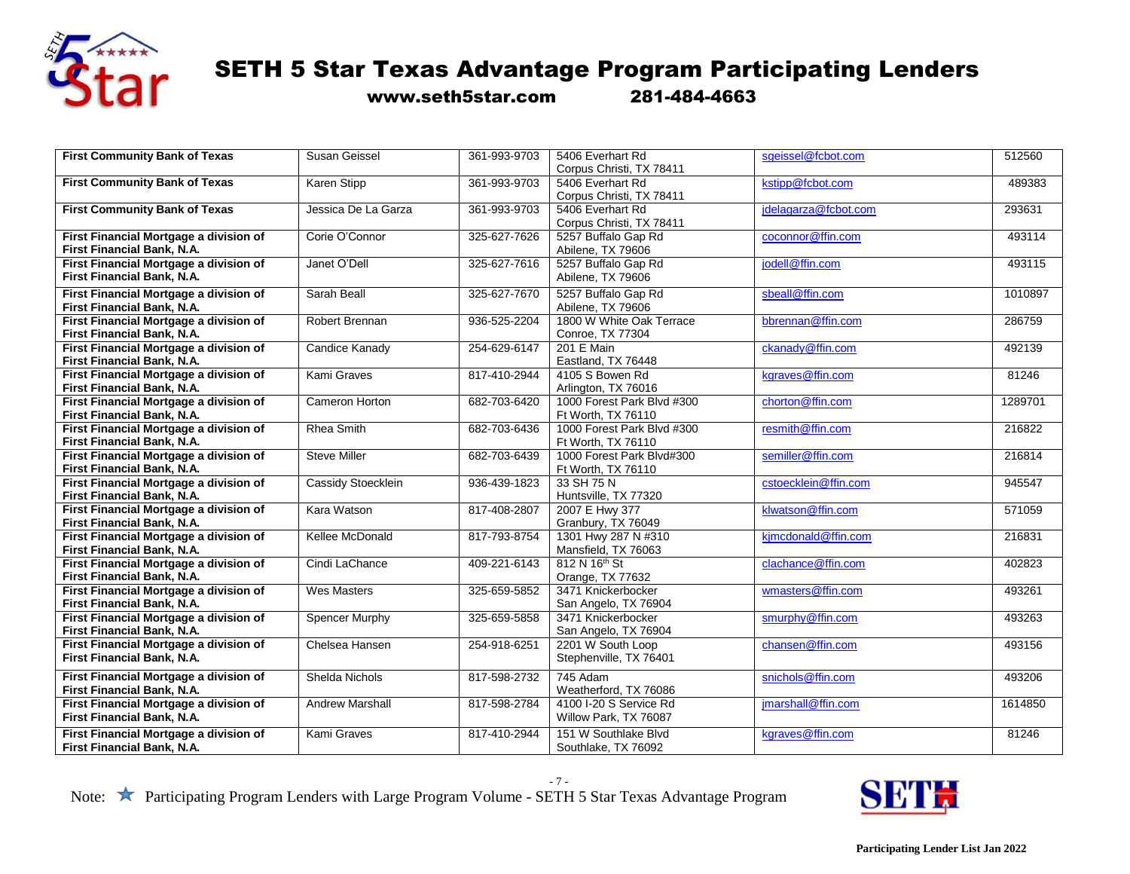

www.seth5star.com 281-484-4663

| <b>First Community Bank of Texas</b>                                 | Susan Geissel          | 361-993-9703 | 5406 Everhart Rd                          | sgeissel@fcbot.com   | 512560  |
|----------------------------------------------------------------------|------------------------|--------------|-------------------------------------------|----------------------|---------|
|                                                                      |                        |              | Corpus Christi, TX 78411                  |                      |         |
| <b>First Community Bank of Texas</b>                                 | Karen Stipp            | 361-993-9703 | 5406 Everhart Rd                          | kstipp@fcbot.com     | 489383  |
|                                                                      |                        |              | Corpus Christi, TX 78411                  |                      |         |
| <b>First Community Bank of Texas</b>                                 | Jessica De La Garza    | 361-993-9703 | 5406 Everhart Rd                          | idelagarza@fcbot.com | 293631  |
|                                                                      |                        |              | Corpus Christi, TX 78411                  |                      |         |
| First Financial Mortgage a division of                               | Corie O'Connor         | 325-627-7626 | 5257 Buffalo Gap Rd                       | coconnor@ffin.com    | 493114  |
| First Financial Bank, N.A.                                           |                        |              | Abilene, TX 79606                         |                      |         |
| First Financial Mortgage a division of                               | Janet O'Dell           | 325-627-7616 | 5257 Buffalo Gap Rd                       | jodell@ffin.com      | 493115  |
| First Financial Bank, N.A.                                           |                        |              | Abilene, TX 79606                         |                      |         |
| First Financial Mortgage a division of                               | Sarah Beall            | 325-627-7670 | 5257 Buffalo Gap Rd                       | sbeall@ffin.com      | 1010897 |
| First Financial Bank, N.A.                                           |                        |              | Abilene, TX 79606                         |                      |         |
| First Financial Mortgage a division of                               | Robert Brennan         | 936-525-2204 | 1800 W White Oak Terrace                  | bbrennan@ffin.com    | 286759  |
| First Financial Bank, N.A.                                           |                        |              | <b>Conroe, TX 77304</b>                   |                      |         |
| First Financial Mortgage a division of                               | Candice Kanady         | 254-629-6147 | 201 E Main                                | ckanady@ffin.com     | 492139  |
| <b>First Financial Bank, N.A.</b>                                    |                        |              | Eastland, TX 76448                        |                      |         |
| First Financial Mortgage a division of                               | <b>Kami Graves</b>     | 817-410-2944 | 4105 S Bowen Rd                           | karaves@ffin.com     | 81246   |
| <b>First Financial Bank, N.A.</b>                                    |                        |              | Arlington, TX 76016                       |                      |         |
| First Financial Mortgage a division of                               | <b>Cameron Horton</b>  | 682-703-6420 | 1000 Forest Park Blvd #300                | chorton@ffin.com     | 1289701 |
| First Financial Bank, N.A.                                           |                        |              | Ft Worth, TX 76110                        |                      |         |
| First Financial Mortgage a division of                               | <b>Rhea Smith</b>      | 682-703-6436 | 1000 Forest Park Blvd #300                | resmith@ffin.com     | 216822  |
| First Financial Bank, N.A.                                           |                        |              | Ft Worth, TX 76110                        |                      |         |
| First Financial Mortgage a division of                               | <b>Steve Miller</b>    | 682-703-6439 | 1000 Forest Park Blvd#300                 | semiller@ffin.com    | 216814  |
| <b>First Financial Bank, N.A.</b>                                    |                        |              | Ft Worth, TX 76110                        |                      |         |
| First Financial Mortgage a division of                               | Cassidy Stoecklein     | 936-439-1823 | 33 SH 75 N                                | cstoecklein@ffin.com | 945547  |
| First Financial Bank, N.A.                                           |                        |              | Huntsville, TX 77320                      |                      |         |
| First Financial Mortgage a division of                               | Kara Watson            | 817-408-2807 | 2007 E Hwy 377                            | klwatson@ffin.com    | 571059  |
| First Financial Bank, N.A.                                           |                        |              | Granbury, TX 76049                        |                      |         |
| First Financial Mortgage a division of                               | Kellee McDonald        | 817-793-8754 | 1301 Hwy 287 N #310                       | kjmcdonald@ffin.com  | 216831  |
| First Financial Bank, N.A.                                           |                        |              | Mansfield, TX 76063                       |                      |         |
| First Financial Mortgage a division of                               | Cindi LaChance         | 409-221-6143 | 812 N 16th St                             | clachance@ffin.com   | 402823  |
| First Financial Bank, N.A.                                           |                        |              | Orange, TX 77632                          |                      |         |
| First Financial Mortgage a division of                               | <b>Wes Masters</b>     | 325-659-5852 | 3471 Knickerbocker                        | wmasters@ffin.com    | 493261  |
| First Financial Bank, N.A.                                           |                        |              | San Angelo, TX 76904                      |                      |         |
| First Financial Mortgage a division of<br>First Financial Bank, N.A. | <b>Spencer Murphy</b>  | 325-659-5858 | 3471 Knickerbocker                        | smurphy@ffin.com     | 493263  |
| First Financial Mortgage a division of                               | Chelsea Hansen         | 254-918-6251 | San Angelo, TX 76904<br>2201 W South Loop | chansen@ffin.com     | 493156  |
| First Financial Bank, N.A.                                           |                        |              |                                           |                      |         |
|                                                                      |                        |              | Stephenville, TX 76401                    |                      |         |
| First Financial Mortgage a division of                               | Shelda Nichols         | 817-598-2732 | 745 Adam                                  | snichols@ffin.com    | 493206  |
| First Financial Bank, N.A.                                           |                        |              | Weatherford, TX 76086                     |                      |         |
| First Financial Mortgage a division of                               | <b>Andrew Marshall</b> | 817-598-2784 | 4100 I-20 S Service Rd                    | jmarshall@ffin.com   | 1614850 |
| First Financial Bank, N.A.                                           |                        |              | Willow Park, TX 76087                     |                      |         |
| First Financial Mortgage a division of                               | Kami Graves            | 817-410-2944 | 151 W Southlake Blvd                      | kgraves@ffin.com     | 81246   |
| First Financial Bank, N.A.                                           |                        |              | Southlake, TX 76092                       |                      |         |

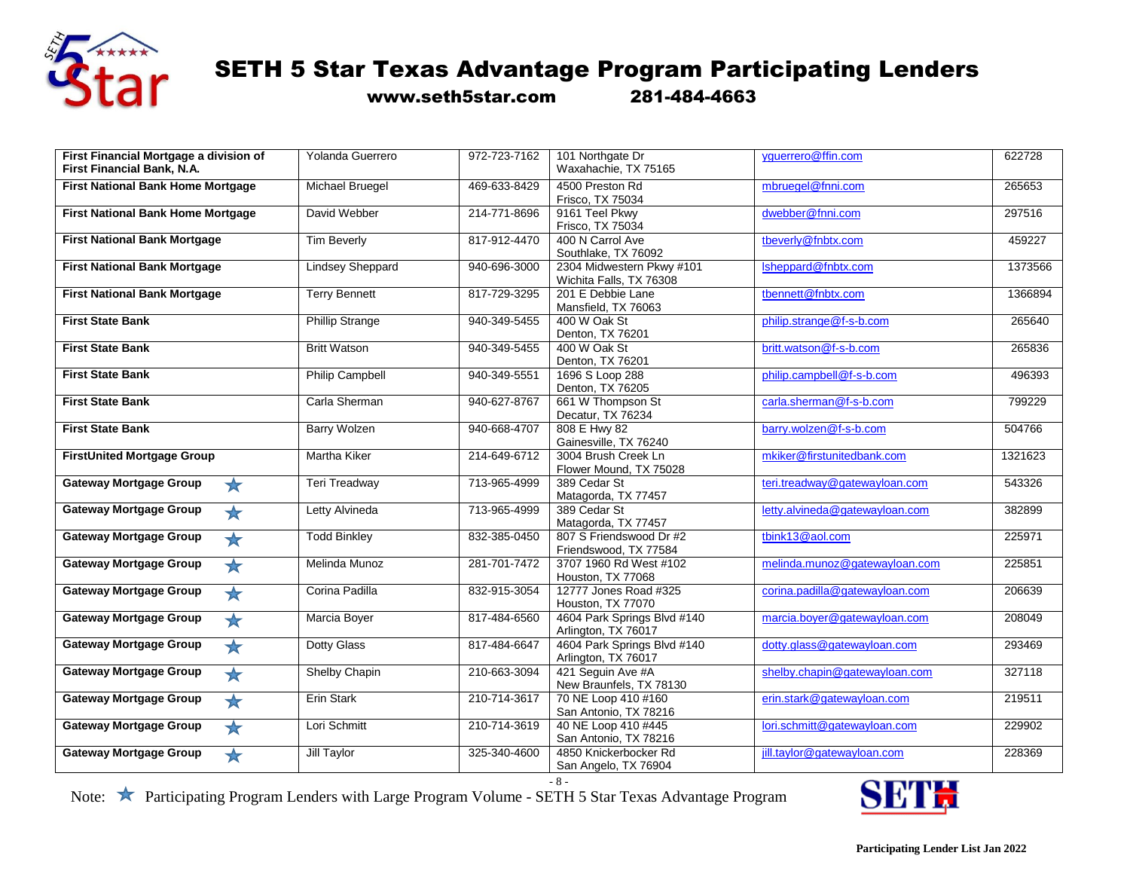

www.seth5star.com 281-484-4663

| First Financial Mortgage a division of<br>First Financial Bank, N.A. | Yolanda Guerrero        | 972-723-7162 | 101 Northgate Dr<br>Waxahachie, TX 75165             | yguerrero@ffin.com             | 622728  |
|----------------------------------------------------------------------|-------------------------|--------------|------------------------------------------------------|--------------------------------|---------|
| <b>First National Bank Home Mortgage</b>                             | Michael Bruegel         | 469-633-8429 | 4500 Preston Rd<br>Frisco, TX 75034                  | mbruegel@fnni.com              | 265653  |
| <b>First National Bank Home Mortgage</b>                             | David Webber            | 214-771-8696 | 9161 Teel Pkwy<br>Frisco, TX 75034                   | dwebber@fnni.com               | 297516  |
| <b>First National Bank Mortgage</b>                                  | <b>Tim Beverly</b>      | 817-912-4470 | 400 N Carrol Ave<br>Southlake, TX 76092              | tbeverly@fnbtx.com             | 459227  |
| <b>First National Bank Mortgage</b>                                  | <b>Lindsey Sheppard</b> | 940-696-3000 | 2304 Midwestern Pkwy #101<br>Wichita Falls, TX 76308 | Isheppard@fnbtx.com            | 1373566 |
| <b>First National Bank Mortgage</b>                                  | <b>Terry Bennett</b>    | 817-729-3295 | 201 E Debbie Lane<br>Mansfield, TX 76063             | tbennett@fnbtx.com             | 1366894 |
| <b>First State Bank</b>                                              | <b>Phillip Strange</b>  | 940-349-5455 | 400 W Oak St<br>Denton, TX 76201                     | philip.strange@f-s-b.com       | 265640  |
| <b>First State Bank</b>                                              | <b>Britt Watson</b>     | 940-349-5455 | 400 W Oak St<br>Denton, TX 76201                     | britt.watson@f-s-b.com         | 265836  |
| <b>First State Bank</b>                                              | <b>Philip Campbell</b>  | 940-349-5551 | 1696 S Loop 288<br>Denton, TX 76205                  | philip.campbell@f-s-b.com      | 496393  |
| <b>First State Bank</b>                                              | Carla Sherman           | 940-627-8767 | 661 W Thompson St<br>Decatur, TX 76234               | carla.sherman@f-s-b.com        | 799229  |
| <b>First State Bank</b>                                              | <b>Barry Wolzen</b>     | 940-668-4707 | 808 E Hwy 82<br>Gainesville, TX 76240                | barry.wolzen@f-s-b.com         | 504766  |
| <b>FirstUnited Mortgage Group</b>                                    | Martha Kiker            | 214-649-6712 | 3004 Brush Creek Ln<br>Flower Mound, TX 75028        | mkiker@firstunitedbank.com     | 1321623 |
| <b>Gateway Mortgage Group</b><br>$\star$                             | Teri Treadway           | 713-965-4999 | 389 Cedar St<br>Matagorda, TX 77457                  | teri.treadway@gatewayloan.com  | 543326  |
| <b>Gateway Mortgage Group</b><br>$\star$                             | Letty Alvineda          | 713-965-4999 | 389 Cedar St<br>Matagorda, TX 77457                  | letty.alvineda@gatewayloan.com | 382899  |
| <b>Gateway Mortgage Group</b><br>*                                   | <b>Todd Binkley</b>     | 832-385-0450 | 807 S Friendswood Dr #2<br>Friendswood, TX 77584     | tbink13@aol.com                | 225971  |
| <b>Gateway Mortgage Group</b><br>$\star$                             | Melinda Munoz           | 281-701-7472 | 3707 1960 Rd West #102<br>Houston, TX 77068          | melinda.munoz@gatewayloan.com  | 225851  |
| <b>Gateway Mortgage Group</b><br>$\star$                             | Corina Padilla          | 832-915-3054 | 12777 Jones Road #325<br>Houston, TX 77070           | corina.padilla@gatewayloan.com | 206639  |
| <b>Gateway Mortgage Group</b><br>$\bigstar$                          | Marcia Boyer            | 817-484-6560 | 4604 Park Springs Blvd #140<br>Arlington, TX 76017   | marcia.boyer@gatewayloan.com   | 208049  |
| <b>Gateway Mortgage Group</b><br>*                                   | Dotty Glass             | 817-484-6647 | 4604 Park Springs Blvd #140<br>Arlington, TX 76017   | dotty.glass@gatewayloan.com    | 293469  |
| <b>Gateway Mortgage Group</b><br>$\bigstar$                          | Shelby Chapin           | 210-663-3094 | 421 Seguin Ave #A<br>New Braunfels, TX 78130         | shelby.chapin@gatewayloan.com  | 327118  |
| <b>Gateway Mortgage Group</b><br>$\star$                             | Erin Stark              | 210-714-3617 | 70 NE Loop 410 #160<br>San Antonio, TX 78216         | erin.stark@gatewayloan.com     | 219511  |
| <b>Gateway Mortgage Group</b><br>*                                   | Lori Schmitt            | 210-714-3619 | 40 NE Loop 410 #445<br>San Antonio, TX 78216         | lori.schmitt@gatewayloan.com   | 229902  |
| <b>Gateway Mortgage Group</b><br>$\rightarrow$                       | <b>Jill Taylor</b>      | 325-340-4600 | 4850 Knickerbocker Rd<br>San Angelo, TX 76904        | jill.taylor@gatewayloan.com    | 228369  |

 $-8 -$ 

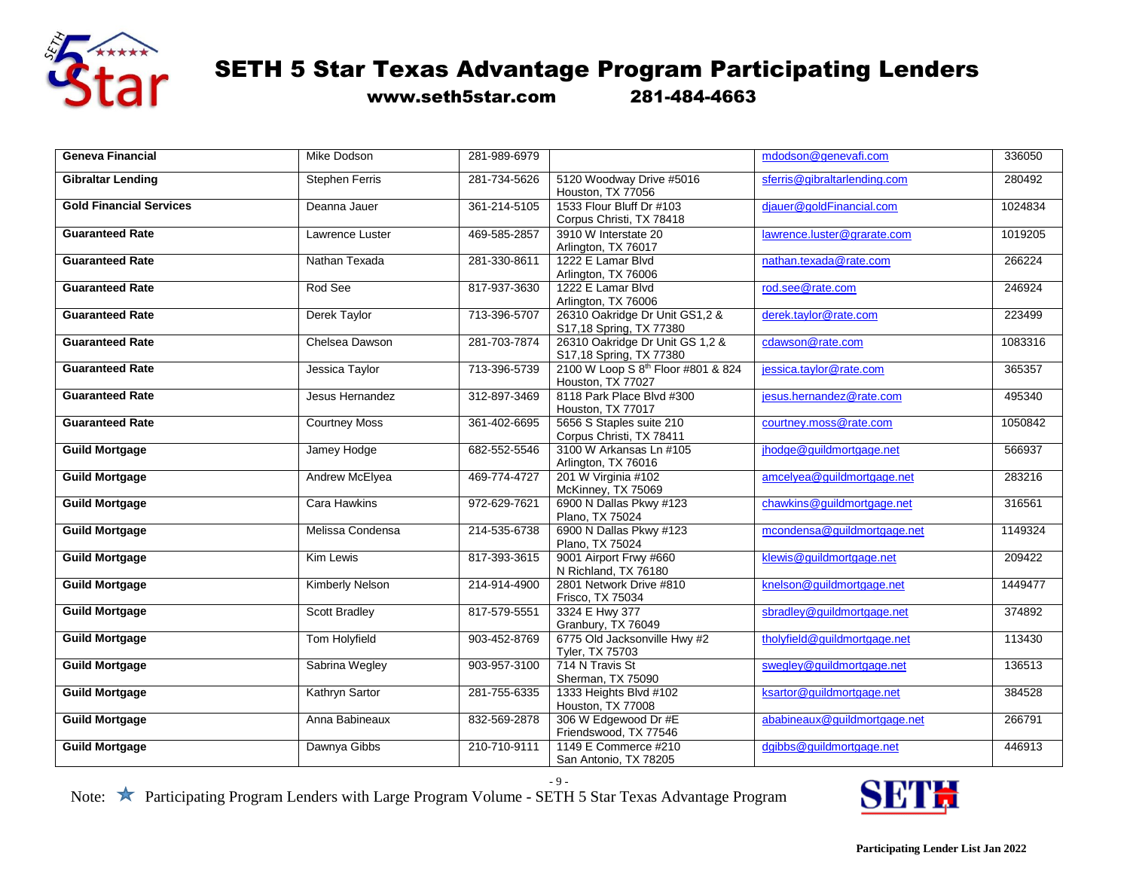

www.seth5star.com 281-484-4663

| <b>Geneva Financial</b>        | <b>Mike Dodson</b>     | 281-989-6979 |                                                            | mdodson@genevafi.com         | 336050  |
|--------------------------------|------------------------|--------------|------------------------------------------------------------|------------------------------|---------|
| <b>Gibraltar Lending</b>       | <b>Stephen Ferris</b>  | 281-734-5626 | 5120 Woodway Drive #5016<br>Houston, TX 77056              | sferris@gibraltarlending.com | 280492  |
| <b>Gold Financial Services</b> | Deanna Jauer           | 361-214-5105 | 1533 Flour Bluff Dr #103<br>Corpus Christi, TX 78418       | diauer@goldFinancial.com     | 1024834 |
| <b>Guaranteed Rate</b>         | Lawrence Luster        | 469-585-2857 | 3910 W Interstate 20<br>Arlington, TX 76017                | lawrence.luster@grarate.com  | 1019205 |
| <b>Guaranteed Rate</b>         | Nathan Texada          | 281-330-8611 | 1222 E Lamar Blvd<br>Arlington, TX 76006                   | nathan.texada@rate.com       | 266224  |
| <b>Guaranteed Rate</b>         | Rod See                | 817-937-3630 | 1222 E Lamar Blvd<br>Arlington, TX 76006                   | rod.see@rate.com             | 246924  |
| <b>Guaranteed Rate</b>         | Derek Taylor           | 713-396-5707 | 26310 Oakridge Dr Unit GS1,2 &<br>S17,18 Spring, TX 77380  | derek.tavlor@rate.com        | 223499  |
| <b>Guaranteed Rate</b>         | Chelsea Dawson         | 281-703-7874 | 26310 Oakridge Dr Unit GS 1,2 &<br>S17,18 Spring, TX 77380 | cdawson@rate.com             | 1083316 |
| <b>Guaranteed Rate</b>         | Jessica Taylor         | 713-396-5739 | 2100 W Loop S 8th Floor #801 & 824<br>Houston, TX 77027    | jessica.taylor@rate.com      | 365357  |
| <b>Guaranteed Rate</b>         | Jesus Hernandez        | 312-897-3469 | 8118 Park Place Blvd #300<br>Houston, TX 77017             | jesus.hernandez@rate.com     | 495340  |
| <b>Guaranteed Rate</b>         | <b>Courtney Moss</b>   | 361-402-6695 | 5656 S Staples suite 210<br>Corpus Christi, TX 78411       | courtney.moss@rate.com       | 1050842 |
| <b>Guild Mortgage</b>          | Jamey Hodge            | 682-552-5546 | 3100 W Arkansas Ln #105<br>Arlington, TX 76016             | jhodge@guildmortgage.net     | 566937  |
| <b>Guild Mortgage</b>          | Andrew McElyea         | 469-774-4727 | 201 W Virginia #102<br>McKinney, TX 75069                  | amcelyea@guildmortgage.net   | 283216  |
| <b>Guild Mortgage</b>          | <b>Cara Hawkins</b>    | 972-629-7621 | 6900 N Dallas Pkwy #123<br>Plano, TX 75024                 | chawkins@guildmortgage.net   | 316561  |
| <b>Guild Mortgage</b>          | Melissa Condensa       | 214-535-6738 | 6900 N Dallas Pkwy #123<br>Plano, TX 75024                 | mcondensa@guildmortgage.net  | 1149324 |
| <b>Guild Mortgage</b>          | <b>Kim Lewis</b>       | 817-393-3615 | 9001 Airport Frwy #660<br>N Richland, TX 76180             | klewis@guildmortgage.net     | 209422  |
| <b>Guild Mortgage</b>          | <b>Kimberly Nelson</b> | 214-914-4900 | 2801 Network Drive #810<br>Frisco, TX 75034                | knelson@guildmortgage.net    | 1449477 |
| <b>Guild Mortgage</b>          | Scott Bradley          | 817-579-5551 | 3324 E Hwy 377<br>Granbury, TX 76049                       | sbradley@guildmortgage.net   | 374892  |
| <b>Guild Mortgage</b>          | Tom Holyfield          | 903-452-8769 | 6775 Old Jacksonville Hwy #2<br>Tyler, TX 75703            | tholyfield@quildmortgage.net | 113430  |
| <b>Guild Mortgage</b>          | Sabrina Wegley         | 903-957-3100 | 714 N Travis St<br>Sherman, TX 75090                       | swegley@guildmortgage.net    | 136513  |
| <b>Guild Mortgage</b>          | Kathryn Sartor         | 281-755-6335 | 1333 Heights Blvd #102<br>Houston, TX 77008                | ksartor@quildmortgage.net    | 384528  |
| <b>Guild Mortgage</b>          | Anna Babineaux         | 832-569-2878 | 306 W Edgewood Dr #E<br>Friendswood, TX 77546              | ababineaux@guildmortgage.net | 266791  |
| <b>Guild Mortgage</b>          | Dawnya Gibbs           | 210-710-9111 | 1149 E Commerce #210<br>San Antonio, TX 78205              | dgibbs@guildmortgage.net     | 446913  |

- 9 -

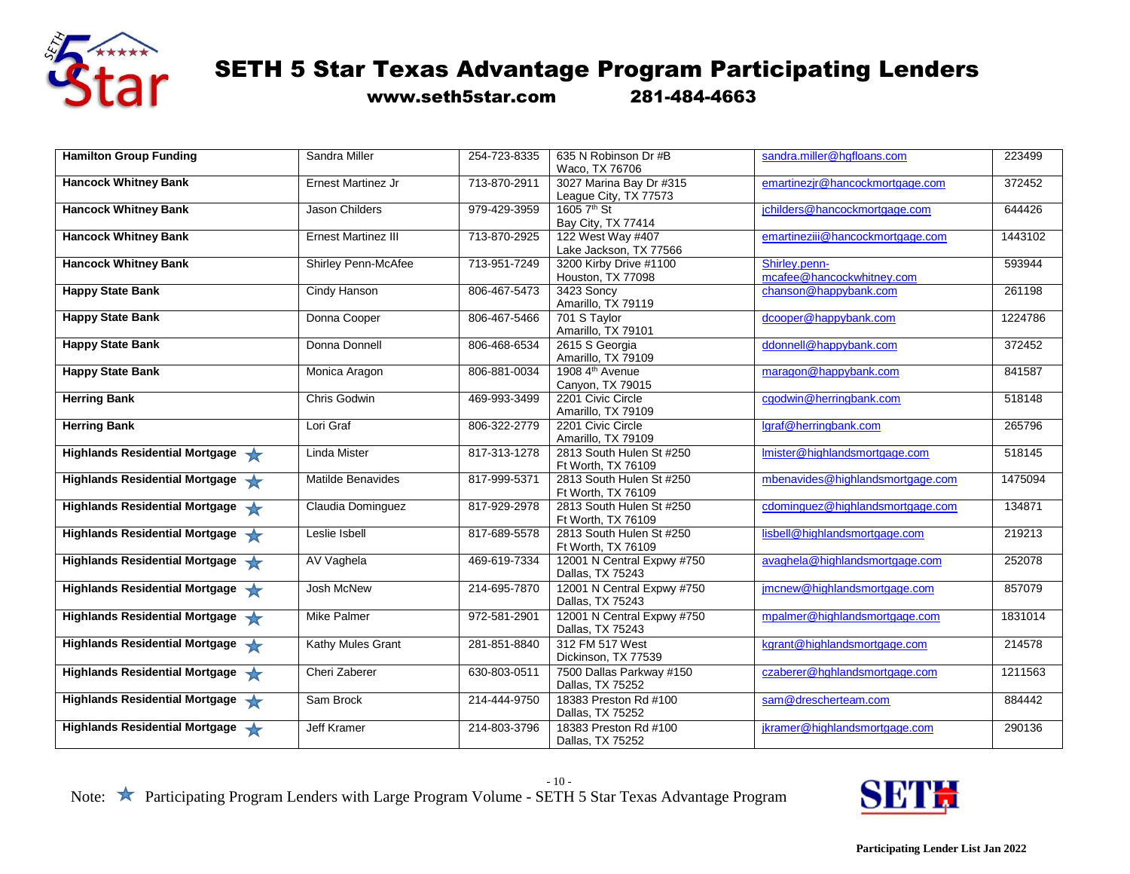

www.seth5star.com 281-484-4663

| <b>Hamilton Group Funding</b>         | Sandra Miller              | 254-723-8335 | 635 N Robinson Dr #B        | sandra.miller@hqfloans.com       | 223499  |
|---------------------------------------|----------------------------|--------------|-----------------------------|----------------------------------|---------|
|                                       |                            |              | Waco, TX 76706              |                                  |         |
| <b>Hancock Whitney Bank</b>           | <b>Ernest Martinez Jr</b>  | 713-870-2911 | 3027 Marina Bay Dr #315     | emartinezjr@hancockmortgage.com  | 372452  |
|                                       |                            |              | League City, TX 77573       |                                  |         |
| <b>Hancock Whitney Bank</b>           | Jason Childers             | 979-429-3959 | 1605 7 <sup>th</sup> St     | jchilders@hancockmortgage.com    | 644426  |
|                                       |                            |              | Bay City, TX 77414          |                                  |         |
| <b>Hancock Whitney Bank</b>           | <b>Ernest Martinez III</b> | 713-870-2925 | 122 West Way #407           | emartineziii@hancockmortgage.com | 1443102 |
|                                       |                            |              | Lake Jackson, TX 77566      |                                  |         |
| <b>Hancock Whitney Bank</b>           | Shirley Penn-McAfee        | 713-951-7249 | 3200 Kirby Drive #1100      | Shirley.penn-                    | 593944  |
|                                       |                            |              | Houston, TX 77098           | mcafee@hancockwhitney.com        |         |
| <b>Happy State Bank</b>               | Cindy Hanson               | 806-467-5473 | 3423 Soncy                  | chanson@happybank.com            | 261198  |
|                                       |                            |              | Amarillo, TX 79119          |                                  |         |
| <b>Happy State Bank</b>               | Donna Cooper               | 806-467-5466 | 701 S Taylor                | dcooper@happybank.com            | 1224786 |
|                                       |                            |              | Amarillo, TX 79101          |                                  |         |
| <b>Happy State Bank</b>               | Donna Donnell              | 806-468-6534 | 2615 S Georgia              | ddonnell@happybank.com           | 372452  |
|                                       |                            |              | Amarillo, TX 79109          |                                  |         |
| <b>Happy State Bank</b>               | Monica Aragon              | 806-881-0034 | 1908 4 <sup>th</sup> Avenue | maragon@happybank.com            | 841587  |
|                                       |                            |              | Canyon, TX 79015            |                                  |         |
| <b>Herring Bank</b>                   | Chris Godwin               | 469-993-3499 | 2201 Civic Circle           | cgodwin@herringbank.com          | 518148  |
|                                       |                            |              | Amarillo, TX 79109          |                                  |         |
| <b>Herring Bank</b>                   | Lori Graf                  | 806-322-2779 | 2201 Civic Circle           | laraf@herringbank.com            | 265796  |
|                                       |                            |              | Amarillo, TX 79109          |                                  |         |
| <b>Highlands Residential Mortgage</b> | <b>Linda Mister</b>        | 817-313-1278 | 2813 South Hulen St #250    | Imister@highlandsmortgage.com    | 518145  |
|                                       |                            |              | Ft Worth, TX 76109          |                                  |         |
| Highlands Residential Mortgage        | Matilde Benavides          | 817-999-5371 | 2813 South Hulen St #250    | mbenavides@highlandsmortgage.com | 1475094 |
|                                       |                            |              | Ft Worth, TX 76109          |                                  |         |
| Highlands Residential Mortgage        | Claudia Dominguez          | 817-929-2978 | 2813 South Hulen St #250    | cdominguez@highlandsmortgage.com | 134871  |
|                                       |                            |              | Ft Worth, TX 76109          |                                  |         |
| Highlands Residential Mortgage        | Leslie Isbell              | 817-689-5578 | 2813 South Hulen St #250    | lisbell@highlandsmortgage.com    | 219213  |
|                                       |                            |              | Ft Worth, TX 76109          |                                  |         |
| Highlands Residential Mortgage        | AV Vaghela                 | 469-619-7334 | 12001 N Central Expwy #750  | avaghela@highlandsmortgage.com   | 252078  |
|                                       |                            |              | Dallas, TX 75243            |                                  |         |
| Highlands Residential Mortgage        | Josh McNew                 | 214-695-7870 | 12001 N Central Expwy #750  | jmcnew@highlandsmortgage.com     | 857079  |
|                                       |                            |              | Dallas, TX 75243            |                                  |         |
| Highlands Residential Mortgage        | <b>Mike Palmer</b>         | 972-581-2901 | 12001 N Central Expwy #750  | mpalmer@highlandsmortgage.com    | 1831014 |
|                                       |                            |              | Dallas, TX 75243            |                                  |         |
| Highlands Residential Mortgage        | Kathy Mules Grant          | 281-851-8840 | 312 FM 517 West             | kgrant@highlandsmortgage.com     | 214578  |
|                                       |                            |              | Dickinson, TX 77539         |                                  |         |
| Highlands Residential Mortgage        | Cheri Zaberer              | 630-803-0511 | 7500 Dallas Parkway #150    | czaberer@hghlandsmortgage.com    | 1211563 |
|                                       |                            |              | Dallas, TX 75252            |                                  |         |
| Highlands Residential Mortgage        | Sam Brock                  | 214-444-9750 | 18383 Preston Rd #100       | sam@drescherteam.com             | 884442  |
|                                       |                            |              | Dallas, TX 75252            |                                  |         |
| Highlands Residential Mortgage        | <b>Jeff Kramer</b>         | 214-803-3796 | 18383 Preston Rd #100       | jkramer@highlandsmortgage.com    | 290136  |
|                                       |                            |              |                             |                                  |         |
|                                       |                            |              | Dallas, TX 75252            |                                  |         |

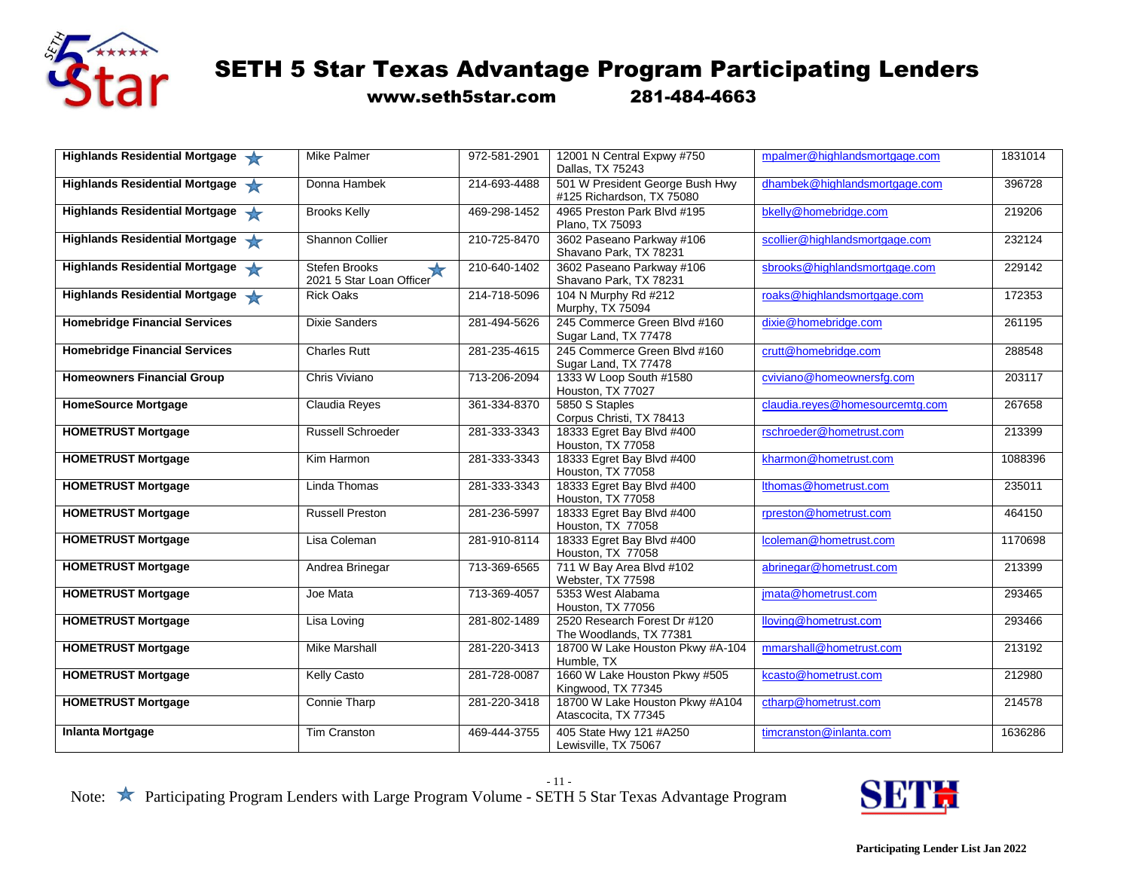

www.seth5star.com 281-484-4663

| Highlands Residential Mortgage       | Mike Palmer                                                    | 972-581-2901 | 12001 N Central Expwy #750<br>Dallas, TX 75243               | mpalmer@highlandsmortgage.com   | 1831014 |
|--------------------------------------|----------------------------------------------------------------|--------------|--------------------------------------------------------------|---------------------------------|---------|
| Highlands Residential Mortgage       | Donna Hambek                                                   | 214-693-4488 | 501 W President George Bush Hwy<br>#125 Richardson, TX 75080 | dhambek@highlandsmortgage.com   | 396728  |
| Highlands Residential Mortgage       | <b>Brooks Kelly</b>                                            | 469-298-1452 | 4965 Preston Park Blvd #195<br>Plano, TX 75093               | bkelly@homebridge.com           | 219206  |
| Highlands Residential Mortgage       | Shannon Collier                                                | 210-725-8470 | 3602 Paseano Parkway #106<br>Shavano Park, TX 78231          | scollier@highlandsmortgage.com  | 232124  |
| Highlands Residential Mortgage       | <b>Stefen Brooks</b><br>$\bigstar$<br>2021 5 Star Loan Officer | 210-640-1402 | 3602 Paseano Parkway #106<br>Shavano Park, TX 78231          | sbrooks@highlandsmortgage.com   | 229142  |
| Highlands Residential Mortgage       | <b>Rick Oaks</b>                                               | 214-718-5096 | 104 N Murphy Rd #212<br>Murphy, TX 75094                     | roaks@highlandsmortgage.com     | 172353  |
| <b>Homebridge Financial Services</b> | <b>Dixie Sanders</b>                                           | 281-494-5626 | 245 Commerce Green Blvd #160<br>Sugar Land, TX 77478         | dixie@homebridge.com            | 261195  |
| <b>Homebridge Financial Services</b> | <b>Charles Rutt</b>                                            | 281-235-4615 | 245 Commerce Green Blvd #160<br>Sugar Land, TX 77478         | crutt@homebridge.com            | 288548  |
| <b>Homeowners Financial Group</b>    | Chris Viviano                                                  | 713-206-2094 | 1333 W Loop South #1580<br>Houston, TX 77027                 | cviviano@homeownersfg.com       | 203117  |
| <b>HomeSource Mortgage</b>           | Claudia Reyes                                                  | 361-334-8370 | 5850 S Staples<br>Corpus Christi, TX 78413                   | claudia.reyes@homesourcemtg.com | 267658  |
| <b>HOMETRUST Mortgage</b>            | <b>Russell Schroeder</b>                                       | 281-333-3343 | 18333 Egret Bay Blvd #400<br>Houston, TX 77058               | rschroeder@hometrust.com        | 213399  |
| <b>HOMETRUST Mortgage</b>            | Kim Harmon                                                     | 281-333-3343 | 18333 Egret Bay Blvd #400<br>Houston, TX 77058               | kharmon@hometrust.com           | 1088396 |
| <b>HOMETRUST Mortgage</b>            | Linda Thomas                                                   | 281-333-3343 | 18333 Egret Bay Blvd #400<br>Houston, TX 77058               | Ithomas@hometrust.com           | 235011  |
| <b>HOMETRUST Mortgage</b>            | <b>Russell Preston</b>                                         | 281-236-5997 | 18333 Egret Bay Blvd #400<br>Houston, TX 77058               | rpreston@hometrust.com          | 464150  |
| <b>HOMETRUST Mortgage</b>            | Lisa Coleman                                                   | 281-910-8114 | 18333 Egret Bay Blvd #400<br>Houston, TX 77058               | Icoleman@hometrust.com          | 1170698 |
| <b>HOMETRUST Mortgage</b>            | Andrea Brinegar                                                | 713-369-6565 | 711 W Bay Area Blvd #102<br>Webster, TX 77598                | abrinegar@hometrust.com         | 213399  |
| <b>HOMETRUST Mortgage</b>            | Joe Mata                                                       | 713-369-4057 | 5353 West Alabama<br>Houston, TX 77056                       | jmata@hometrust.com             | 293465  |
| <b>HOMETRUST Mortgage</b>            | Lisa Loving                                                    | 281-802-1489 | 2520 Research Forest Dr #120<br>The Woodlands, TX 77381      | lloving@hometrust.com           | 293466  |
| <b>HOMETRUST Mortgage</b>            | <b>Mike Marshall</b>                                           | 281-220-3413 | 18700 W Lake Houston Pkwy #A-104<br>Humble, TX               | mmarshall@hometrust.com         | 213192  |
| <b>HOMETRUST Mortgage</b>            | Kelly Casto                                                    | 281-728-0087 | 1660 W Lake Houston Pkwy #505<br>Kingwood, TX 77345          | kcasto@hometrust.com            | 212980  |
| <b>HOMETRUST Mortgage</b>            | <b>Connie Tharp</b>                                            | 281-220-3418 | 18700 W Lake Houston Pkwy #A104<br>Atascocita, TX 77345      | ctharp@hometrust.com            | 214578  |
| <b>Inlanta Mortgage</b>              | <b>Tim Cranston</b>                                            | 469-444-3755 | 405 State Hwy 121 #A250<br>Lewisville, TX 75067              | timcranston@inlanta.com         | 1636286 |

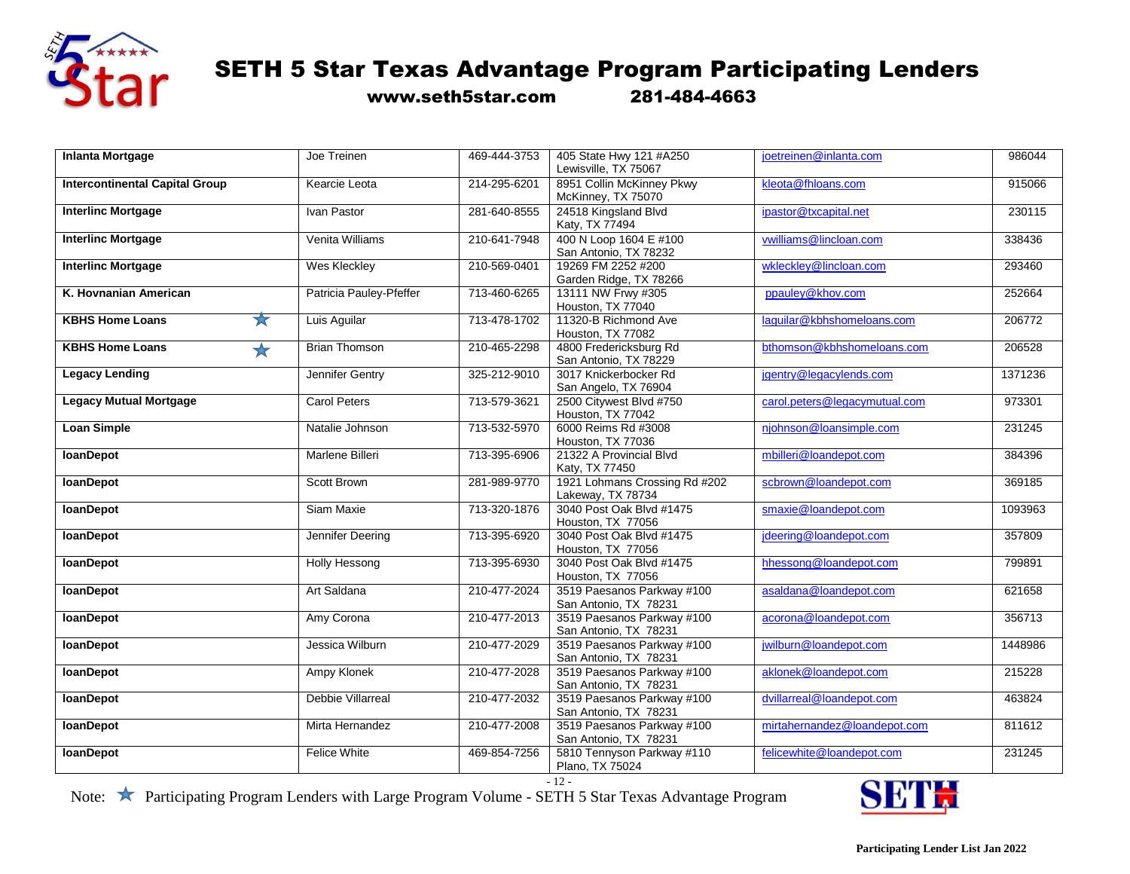

www.seth5star.com 281-484-4663

| <b>Inlanta Mortgage</b>                 | Joe Treinen             | 469-444-3753 | 405 State Hwy 121 #A250                         | joetreinen@inlanta.com        | 986044  |
|-----------------------------------------|-------------------------|--------------|-------------------------------------------------|-------------------------------|---------|
|                                         |                         |              | Lewisville, TX 75067                            |                               |         |
| <b>Intercontinental Capital Group</b>   | Kearcie Leota           | 214-295-6201 | 8951 Collin McKinney Pkwy<br>McKinney, TX 75070 | kleota@fhloans.com            | 915066  |
| <b>Interlinc Mortgage</b>               | Ivan Pastor             | 281-640-8555 | 24518 Kingsland Blvd                            | ipastor@txcapital.net         | 230115  |
|                                         |                         |              | Katy, TX 77494                                  |                               |         |
| <b>Interlinc Mortgage</b>               | Venita Williams         | 210-641-7948 | 400 N Loop 1604 E #100                          | vwilliams@lincloan.com        | 338436  |
|                                         |                         |              | San Antonio, TX 78232                           |                               |         |
| <b>Interlinc Mortgage</b>               | <b>Wes Kleckley</b>     | 210-569-0401 | 19269 FM 2252 #200                              | wkleckley@lincloan.com        | 293460  |
|                                         |                         |              | Garden Ridge, TX 78266                          |                               |         |
| K. Hovnanian American                   | Patricia Pauley-Pfeffer | 713-460-6265 | 13111 NW Frwy #305                              | ppauley@khov.com              | 252664  |
|                                         |                         |              | Houston, TX 77040                               |                               |         |
| $\frac{1}{N}$<br><b>KBHS Home Loans</b> | Luis Aguilar            | 713 478 1702 | 11320-B Richmond Ave                            | laquilar@kbhshomeloans.com    | 206772  |
|                                         |                         |              | Houston, TX 77082                               |                               |         |
| <b>KBHS Home Loans</b>                  | <b>Brian Thomson</b>    | 210-465-2298 | 4800 Fredericksburg Rd                          | bthomson@kbhshomeloans.com    | 206528  |
| ★                                       |                         |              | San Antonio, TX 78229                           |                               |         |
| <b>Legacy Lending</b>                   | Jennifer Gentry         | 325-212-9010 | 3017 Knickerbocker Rd                           | jgentry@legacylends.com       | 1371236 |
|                                         |                         |              | San Angelo, TX 76904                            |                               |         |
| <b>Legacy Mutual Mortgage</b>           | <b>Carol Peters</b>     | 713-579-3621 | 2500 Citywest Blvd #750                         | carol.peters@legacymutual.com | 973301  |
|                                         |                         |              | Houston, TX 77042                               |                               |         |
|                                         |                         |              |                                                 |                               |         |
| <b>Loan Simple</b>                      | Natalie Johnson         | 713-532-5970 | 6000 Reims Rd #3008                             | njohnson@loansimple.com       | 231245  |
|                                         |                         |              | Houston, TX 77036                               |                               |         |
| <b>IoanDepot</b>                        | Marlene Billeri         | 713-395-6906 | 21322 A Provincial Blvd                         | mbilleri@loandepot.com        | 384396  |
|                                         |                         |              | Katy, TX 77450                                  |                               |         |
| <b>loanDepot</b>                        | Scott Brown             | 281-989-9770 | 1921 Lohmans Crossing Rd #202                   | scbrown@loandepot.com         | 369185  |
|                                         |                         |              | Lakeway, TX 78734                               |                               |         |
| <b>loanDepot</b>                        | Siam Maxie              | 713-320-1876 | 3040 Post Oak Blvd #1475                        | smaxie@loandepot.com          | 1093963 |
|                                         |                         |              | Houston, TX 77056                               |                               |         |
| <b>IoanDepot</b>                        | Jennifer Deering        | 713-395-6920 | 3040 Post Oak Blvd #1475                        | jdeering@loandepot.com        | 357809  |
|                                         |                         |              | Houston, TX 77056                               |                               |         |
| <b>loanDepot</b>                        | <b>Holly Hessong</b>    | 713-395-6930 | 3040 Post Oak Blvd #1475                        | hhessong@loandepot.com        | 799891  |
|                                         |                         |              | Houston, TX 77056                               |                               |         |
| <b>IoanDepot</b>                        | Art Saldana             | 210-477-2024 | 3519 Paesanos Parkway #100                      | asaldana@loandepot.com        | 621658  |
|                                         |                         |              | San Antonio, TX 78231                           |                               |         |
| <b>loanDepot</b>                        | Amy Corona              | 210-477-2013 | 3519 Paesanos Parkway #100                      | acorona@loandepot.com         | 356713  |
|                                         |                         |              | San Antonio, TX 78231                           |                               |         |
| <b>loanDepot</b>                        | Jessica Wilburn         | 210-477-2029 | 3519 Paesanos Parkway #100                      | jwilburn@loandepot.com        | 1448986 |
|                                         |                         |              | San Antonio, TX 78231                           |                               |         |
| <b>loanDepot</b>                        | <b>Ampy Klonek</b>      | 210-477-2028 | 3519 Paesanos Parkway #100                      | aklonek@loandepot.com         | 215228  |
|                                         |                         |              | San Antonio, TX 78231                           |                               |         |
| <b>loanDepot</b>                        | Debbie Villarreal       | 210-477-2032 | 3519 Paesanos Parkway #100                      | dvillarreal@loandepot.com     | 463824  |
|                                         |                         |              | San Antonio, TX 78231                           |                               |         |
| <b>IoanDepot</b>                        | Mirta Hernandez         | 210-477-2008 | 3519 Paesanos Parkway #100                      | mirtahernandez@loandepot.com  | 811612  |
|                                         |                         |              | San Antonio, TX 78231                           |                               |         |
| <b>IoanDepot</b>                        | <b>Felice White</b>     | 469-854-7256 | 5810 Tennyson Parkway #110                      | felicewhite@loandepot.com     | 231245  |
|                                         |                         |              | Plano, TX 75024                                 |                               |         |

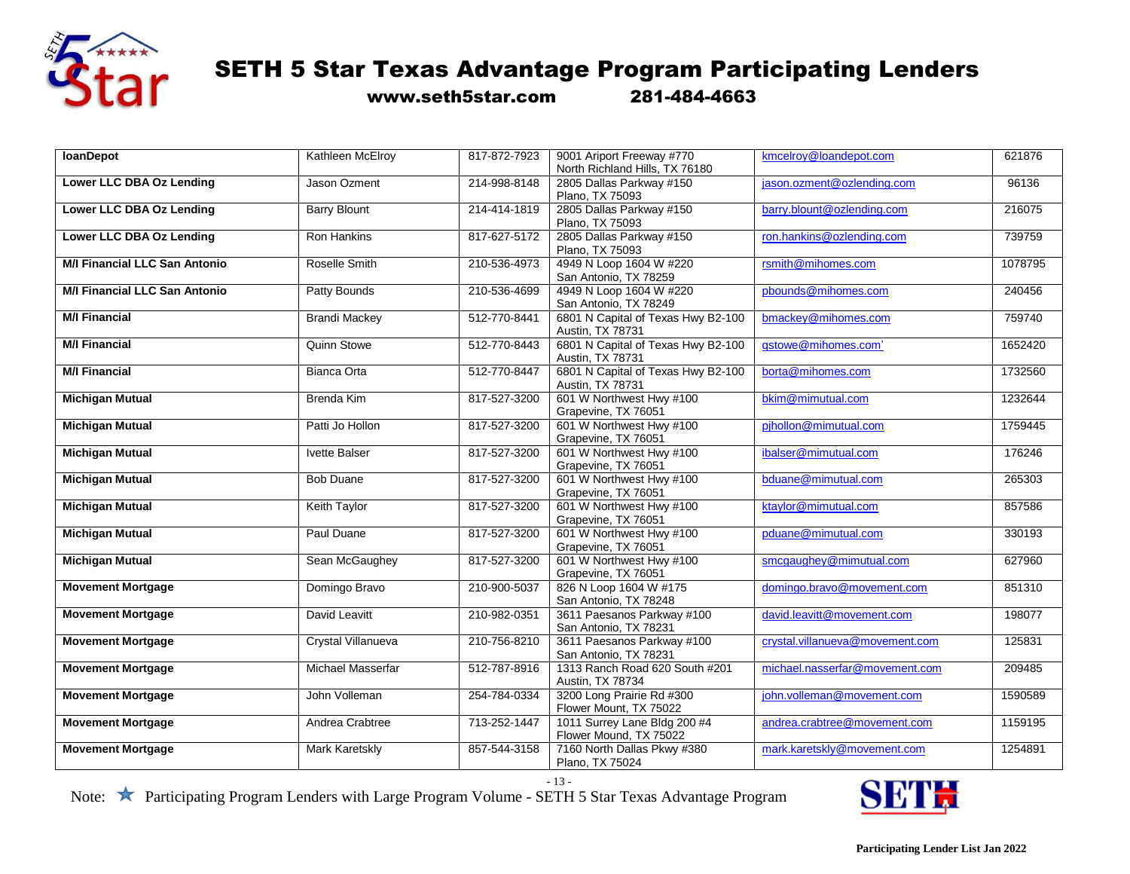

www.seth5star.com 281-484-4663

| <b>IoanDepot</b>                     | Kathleen McElroy      | 817-872-7923 | 9001 Ariport Freeway #770                   | kmcelroy@loandepot.com          | 621876  |
|--------------------------------------|-----------------------|--------------|---------------------------------------------|---------------------------------|---------|
|                                      |                       |              | North Richland Hills, TX 76180              |                                 |         |
| Lower LLC DBA Oz Lending             | Jason Ozment          | 214-998-8148 | 2805 Dallas Parkway #150<br>Plano, TX 75093 | jason.ozment@ozlending.com      | 96136   |
|                                      |                       |              |                                             |                                 |         |
| <b>Lower LLC DBA Oz Lending</b>      | <b>Barry Blount</b>   | 214-414-1819 | 2805 Dallas Parkway #150<br>Plano, TX 75093 | barry.blount@ozlending.com      | 216075  |
| Lower LLC DBA Oz Lending             | <b>Ron Hankins</b>    | 817-627-5172 | 2805 Dallas Parkway #150                    | ron.hankins@ozlending.com       | 739759  |
|                                      |                       |              | Plano, TX 75093                             |                                 |         |
| <b>M/I Financial LLC San Antonio</b> | Roselle Smith         | 210-536-4973 | 4949 N Loop 1604 W #220                     | rsmith@mihomes.com              | 1078795 |
|                                      |                       |              | San Antonio, TX 78259                       |                                 |         |
| <b>M/I Financial LLC San Antonio</b> | Patty Bounds          | 210-536-4699 | 4949 N Loop 1604 W #220                     | pbounds@mihomes.com             | 240456  |
|                                      |                       |              |                                             |                                 |         |
|                                      |                       |              | San Antonio, TX 78249                       |                                 |         |
| <b>M/I Financial</b>                 | <b>Brandi Mackey</b>  | 512-770-8441 | 6801 N Capital of Texas Hwy B2-100          | bmackey@mihomes.com             | 759740  |
|                                      |                       |              | Austin, TX 78731                            |                                 |         |
| <b>M/I Financial</b>                 | <b>Quinn Stowe</b>    | 512-770-8443 | 6801 N Capital of Texas Hwy B2-100          | gstowe@mihomes.com'             | 1652420 |
|                                      |                       |              | Austin, TX 78731                            |                                 |         |
| <b>M/I Financial</b>                 |                       | 512-770-8447 |                                             |                                 | 1732560 |
|                                      | Bianca Orta           |              | 6801 N Capital of Texas Hwy B2-100          | borta@mihomes.com               |         |
|                                      |                       |              | Austin, TX 78731                            |                                 |         |
| <b>Michigan Mutual</b>               | <b>Brenda Kim</b>     | 817-527-3200 | 601 W Northwest Hwy #100                    | bkim@mimutual.com               | 1232644 |
|                                      |                       |              | Grapevine, TX 76051                         |                                 |         |
| <b>Michigan Mutual</b>               | Patti Jo Hollon       | 817-527-3200 | 601 W Northwest Hwy #100                    | pjhollon@mimutual.com           | 1759445 |
|                                      |                       |              |                                             |                                 |         |
|                                      |                       |              | Grapevine, TX 76051                         |                                 |         |
| <b>Michigan Mutual</b>               | <b>Ivette Balser</b>  | 817-527-3200 | 601 W Northwest Hwy #100                    | ibalser@mimutual.com            | 176246  |
|                                      |                       |              | Grapevine, TX 76051                         |                                 |         |
| <b>Michigan Mutual</b>               | <b>Bob Duane</b>      | 817-527-3200 | 601 W Northwest Hwy #100                    | bduane@mimutual.com             | 265303  |
|                                      |                       |              | Grapevine, TX 76051                         |                                 |         |
| <b>Michigan Mutual</b>               | <b>Keith Taylor</b>   | 817-527-3200 | 601 W Northwest Hwy #100                    | ktaylor@mimutual.com            | 857586  |
|                                      |                       |              |                                             |                                 |         |
|                                      |                       |              | Grapevine, TX 76051                         |                                 |         |
| <b>Michigan Mutual</b>               | Paul Duane            | 817-527-3200 | 601 W Northwest Hwy #100                    | pduane@mimutual.com             | 330193  |
|                                      |                       |              | Grapevine, TX 76051                         |                                 |         |
| <b>Michigan Mutual</b>               | Sean McGaughey        | 817-527-3200 | 601 W Northwest Hwy #100                    | smcgaughey@mimutual.com         | 627960  |
|                                      |                       |              | Grapevine, TX 76051                         |                                 |         |
| <b>Movement Mortgage</b>             | Domingo Bravo         | 210-900-5037 | 826 N Loop 1604 W #175                      | domingo.bravo@movement.com      | 851310  |
|                                      |                       |              |                                             |                                 |         |
|                                      |                       |              | San Antonio, TX 78248                       |                                 |         |
| <b>Movement Mortgage</b>             | David Leavitt         | 210-982-0351 | 3611 Paesanos Parkway #100                  | david.leavitt@movement.com      | 198077  |
|                                      |                       |              | San Antonio, TX 78231                       |                                 |         |
| <b>Movement Mortgage</b>             | Crystal Villanueva    | 210-756-8210 | 3611 Paesanos Parkway #100                  | crystal.villanueva@movement.com | 125831  |
|                                      |                       |              | San Antonio, TX 78231                       |                                 |         |
| <b>Movement Mortgage</b>             | Michael Masserfar     | 512-787-8916 | 1313 Ranch Road 620 South #201              | michael.nasserfar@movement.com  | 209485  |
|                                      |                       |              |                                             |                                 |         |
|                                      |                       |              | Austin, TX 78734                            |                                 |         |
| <b>Movement Mortgage</b>             | John Volleman         | 254-784-0334 | 3200 Long Prairie Rd #300                   | john.volleman@movement.com      | 1590589 |
|                                      |                       |              | Flower Mount, TX 75022                      |                                 |         |
| <b>Movement Mortgage</b>             | Andrea Crabtree       | 713-252-1447 | 1011 Surrey Lane Bldg 200 #4                | andrea.crabtree@movement.com    | 1159195 |
|                                      |                       |              | Flower Mound, TX 75022                      |                                 |         |
|                                      |                       |              |                                             |                                 |         |
| <b>Movement Mortgage</b>             | <b>Mark Karetskly</b> | 857-544-3158 | 7160 North Dallas Pkwy #380                 | mark.karetskly@movement.com     | 1254891 |
|                                      |                       |              | Plano, TX 75024                             |                                 |         |

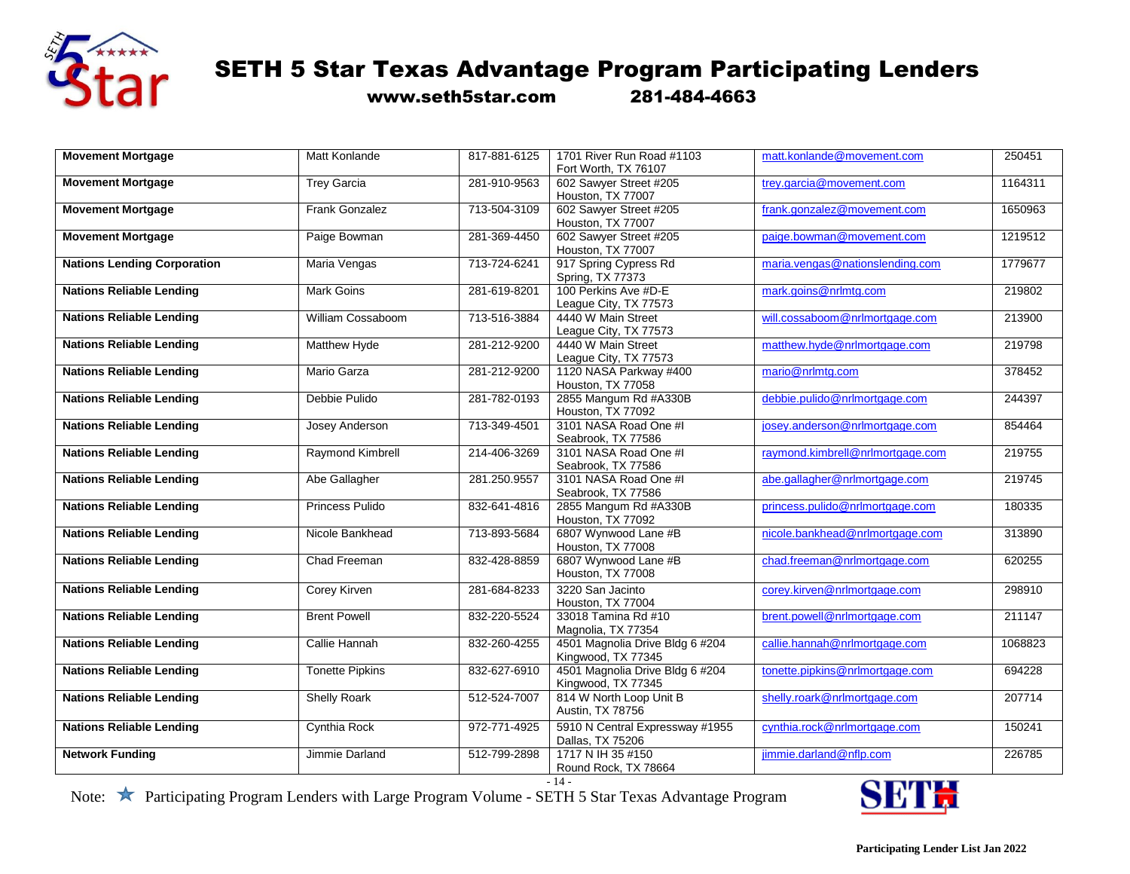

www.seth5star.com 281-484-4663

| <b>Movement Mortgage</b>           | Matt Konlande           | 817-881-6125 | 1701 River Run Road #1103<br>Fort Worth, TX 76107     | matt.konlande@movement.com       | 250451  |
|------------------------------------|-------------------------|--------------|-------------------------------------------------------|----------------------------------|---------|
| <b>Movement Mortgage</b>           | <b>Trey Garcia</b>      | 281-910-9563 | 602 Sawyer Street #205<br>Houston, TX 77007           | trey.garcia@movement.com         | 1164311 |
| <b>Movement Mortgage</b>           | <b>Frank Gonzalez</b>   | 713-504-3109 | 602 Sawyer Street #205<br>Houston, TX 77007           | frank.gonzalez@movement.com      | 1650963 |
| <b>Movement Mortgage</b>           | Paige Bowman            | 281-369-4450 | 602 Sawyer Street #205<br>Houston, TX 77007           | paige.bowman@movement.com        | 1219512 |
| <b>Nations Lending Corporation</b> | Maria Vengas            | 713-724-6241 | 917 Spring Cypress Rd<br>Spring, TX 77373             | maria.vengas@nationslending.com  | 1779677 |
| <b>Nations Reliable Lending</b>    | Mark Goins              | 281-619-8201 | 100 Perkins Ave #D-E<br>League City, TX 77573         | mark.goins@nrlmtg.com            | 219802  |
| <b>Nations Reliable Lending</b>    | William Cossaboom       | 713-516-3884 | 4440 W Main Street<br>League City, TX 77573           | will.cossaboom@nrlmortgage.com   | 213900  |
| <b>Nations Reliable Lending</b>    | Matthew Hyde            | 281-212-9200 | 4440 W Main Street<br>League City, TX 77573           | matthew.hyde@nrlmortgage.com     | 219798  |
| <b>Nations Reliable Lending</b>    | <b>Mario Garza</b>      | 281-212-9200 | 1120 NASA Parkway #400<br>Houston, TX 77058           | mario@nrlmtg.com                 | 378452  |
| <b>Nations Reliable Lending</b>    | Debbie Pulido           | 281-782-0193 | 2855 Mangum Rd #A330B<br>Houston, TX 77092            | debbie.pulido@nrlmortgage.com    | 244397  |
| <b>Nations Reliable Lending</b>    | Josey Anderson          | 713-349-4501 | 3101 NASA Road One #I<br>Seabrook, TX 77586           | josey.anderson@nrlmortgage.com   | 854464  |
| <b>Nations Reliable Lending</b>    | <b>Raymond Kimbrell</b> | 214-406-3269 | 3101 NASA Road One #I<br>Seabrook, TX 77586           | raymond.kimbrell@nrlmortgage.com | 219755  |
| <b>Nations Reliable Lending</b>    | Abe Gallagher           | 281.250.9557 | 3101 NASA Road One #I<br>Seabrook, TX 77586           | abe.gallagher@nrlmortgage.com    | 219745  |
| <b>Nations Reliable Lending</b>    | Princess Pulido         | 832-641-4816 | 2855 Mangum Rd #A330B<br>Houston, TX 77092            | princess.pulido@nrlmortgage.com  | 180335  |
| <b>Nations Reliable Lending</b>    | Nicole Bankhead         | 713-893-5684 | 6807 Wynwood Lane #B<br>Houston, TX 77008             | nicole.bankhead@nrlmortgage.com  | 313890  |
| <b>Nations Reliable Lending</b>    | Chad Freeman            | 832-428-8859 | 6807 Wynwood Lane #B<br>Houston, TX 77008             | chad.freeman@nrlmortgage.com     | 620255  |
| <b>Nations Reliable Lending</b>    | Corey Kirven            | 281-684-8233 | 3220 San Jacinto<br>Houston, TX 77004                 | corey.kirven@nrlmortgage.com     | 298910  |
| <b>Nations Reliable Lending</b>    | <b>Brent Powell</b>     | 832-220-5524 | 33018 Tamina Rd #10<br>Magnolia, TX 77354             | brent.powell@nrlmortgage.com     | 211147  |
| <b>Nations Reliable Lending</b>    | Callie Hannah           | 832-260-4255 | 4501 Magnolia Drive Bldg 6 #204<br>Kingwood, TX 77345 | callie.hannah@nrlmortgage.com    | 1068823 |
| <b>Nations Reliable Lending</b>    | <b>Tonette Pipkins</b>  | 832-627-6910 | 4501 Magnolia Drive Bldg 6 #204<br>Kingwood, TX 77345 | tonette.pipkins@nrlmortgage.com  | 694228  |
| <b>Nations Reliable Lending</b>    | <b>Shelly Roark</b>     | 512-524-7007 | 814 W North Loop Unit B<br>Austin, TX 78756           | shelly.roark@nrlmortgage.com     | 207714  |
| <b>Nations Reliable Lending</b>    | Cynthia Rock            | 972-771-4925 | 5910 N Central Expressway #1955<br>Dallas, TX 75206   | cynthia.rock@nrlmortgage.com     | 150241  |
| <b>Network Funding</b>             | Jimmie Darland          | 512-799-2898 | 1717 N IH 35 #150<br>Round Rock, TX 78664             | jimmie.darland@nflp.com          | 226785  |

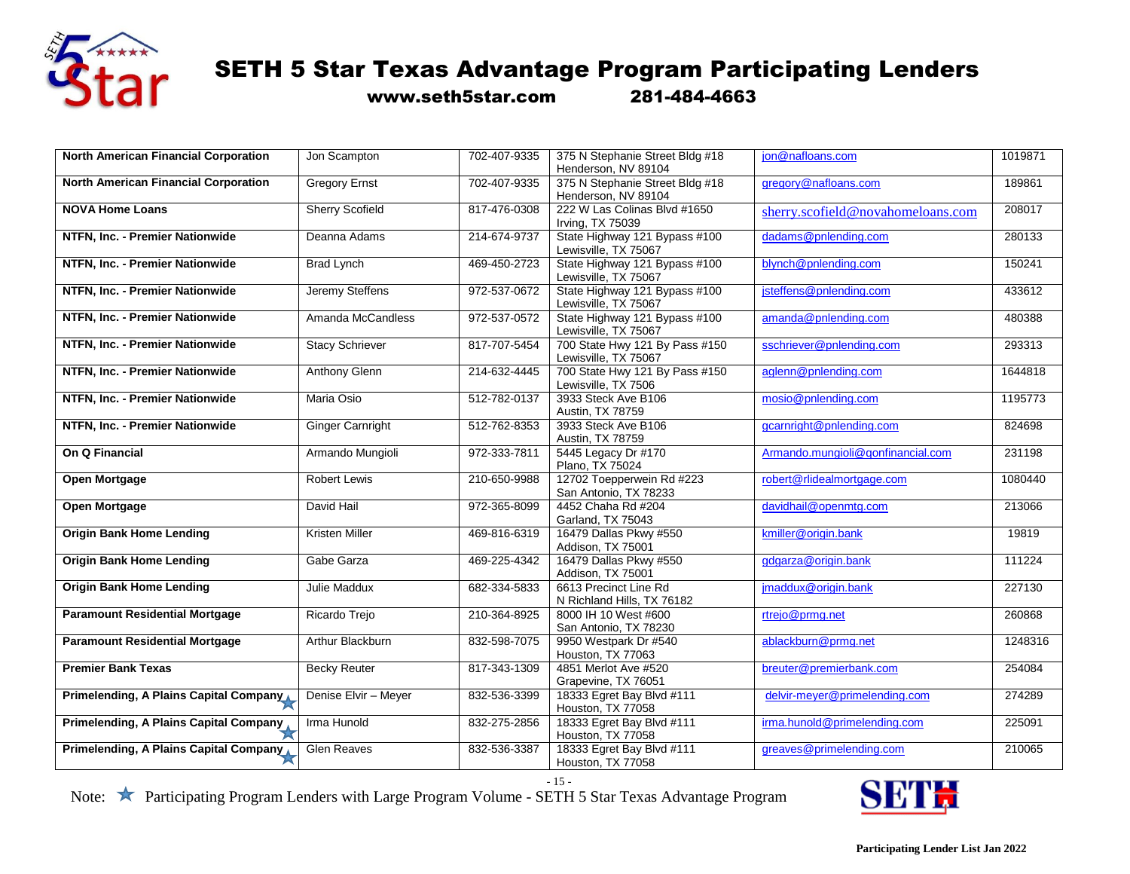

www.seth5star.com 281-484-4663

| <b>North American Financial Corporation</b>   | Jon Scampton            | 702-407-9335 | 375 N Stephanie Street Bldg #18                        | jon@nafloans.com                  | 1019871 |
|-----------------------------------------------|-------------------------|--------------|--------------------------------------------------------|-----------------------------------|---------|
|                                               |                         |              | Henderson, NV 89104                                    |                                   |         |
| North American Financial Corporation          | <b>Gregory Ernst</b>    | 702-407-9335 | 375 N Stephanie Street Bldg #18<br>Henderson, NV 89104 | gregory@nafloans.com              | 189861  |
| <b>NOVA Home Loans</b>                        | <b>Sherry Scofield</b>  | 817-476-0308 | 222 W Las Colinas Blvd #1650<br>Irving, TX 75039       | sherry.scofield@novahomeloans.com | 208017  |
| NTFN, Inc. - Premier Nationwide               | Deanna Adams            | 214-674-9737 | State Highway 121 Bypass #100<br>Lewisville, TX 75067  | dadams@pnlending.com              | 280133  |
| NTFN, Inc. - Premier Nationwide               | <b>Brad Lynch</b>       | 469-450-2723 | State Highway 121 Bypass #100<br>Lewisville, TX 75067  | blynch@pnlending.com              | 150241  |
| NTFN, Inc. - Premier Nationwide               | Jeremy Steffens         | 972-537-0672 | State Highway 121 Bypass #100<br>Lewisville, TX 75067  | jsteffens@pnlending.com           | 433612  |
| NTFN, Inc. - Premier Nationwide               | Amanda McCandless       | 972-537-0572 | State Highway 121 Bypass #100<br>Lewisville, TX 75067  | amanda@pnlending.com              | 480388  |
| NTFN, Inc. - Premier Nationwide               | <b>Stacy Schriever</b>  | 817-707-5454 | 700 State Hwy 121 By Pass #150<br>Lewisville, TX 75067 | sschriever@pnlending.com          | 293313  |
| NTFN, Inc. - Premier Nationwide               | Anthony Glenn           | 214-632-4445 | 700 State Hwy 121 By Pass #150<br>Lewisville, TX 7506  | aglenn@pnlending.com              | 1644818 |
| NTFN, Inc. - Premier Nationwide               | Maria Osio              | 512-782-0137 | 3933 Steck Ave B106<br>Austin, TX 78759                | mosio@pnlending.com               | 1195773 |
| NTFN, Inc. - Premier Nationwide               | <b>Ginger Carnright</b> | 512-762-8353 | 3933 Steck Ave B106<br>Austin, TX 78759                | gcarnright@pnlending.com          | 824698  |
| On Q Financial                                | Armando Mungioli        | 972-333-7811 | 5445 Legacy Dr #170<br>Plano, TX 75024                 | Armando.mungioli@qonfinancial.com | 231198  |
| Open Mortgage                                 | <b>Robert Lewis</b>     | 210-650-9988 | 12702 Toepperwein Rd #223<br>San Antonio, TX 78233     | robert@rlidealmortgage.com        | 1080440 |
| Open Mortgage                                 | David Hail              | 972-365-8099 | 4452 Chaha Rd #204<br>Garland, TX 75043                | davidhail@openmtg.com             | 213066  |
| <b>Origin Bank Home Lending</b>               | <b>Kristen Miller</b>   | 469-816-6319 | 16479 Dallas Pkwy #550<br>Addison, TX 75001            | kmiller@origin.bank               | 19819   |
| <b>Origin Bank Home Lending</b>               | Gabe Garza              | 469-225-4342 | 16479 Dallas Pkwy #550<br>Addison, TX 75001            | gdgarza@origin.bank               | 111224  |
| <b>Origin Bank Home Lending</b>               | Julie Maddux            | 682-334-5833 | 6613 Precinct Line Rd<br>N Richland Hills, TX 76182    | jmaddux@origin.bank               | 227130  |
| <b>Paramount Residential Mortgage</b>         | Ricardo Trejo           | 210-364-8925 | 8000 IH 10 West #600<br>San Antonio, TX 78230          | rtrejo@prmg.net                   | 260868  |
| <b>Paramount Residential Mortgage</b>         | Arthur Blackburn        | 832-598-7075 | 9950 Westpark Dr #540<br>Houston, TX 77063             | ablackburn@prmg.net               | 1248316 |
| <b>Premier Bank Texas</b>                     | <b>Becky Reuter</b>     | 817-343-1309 | 4851 Merlot Ave #520<br>Grapevine, TX 76051            | breuter@premierbank.com           | 254084  |
| <b>Primelending, A Plains Capital Company</b> | Denise Elvir - Meyer    | 832-536-3399 | 18333 Egret Bay Blvd #111<br>Houston, TX 77058         | delvir-meyer@primelending.com     | 274289  |
| Primelending, A Plains Capital Company        | Irma Hunold             | 832-275-2856 | 18333 Egret Bay Blvd #111<br>Houston, TX 77058         | irma.hunold@primelending.com      | 225091  |
| Primelending, A Plains Capital Company        | <b>Glen Reaves</b>      | 832-536-3387 | 18333 Egret Bay Blvd #111<br>Houston, TX 77058         | greaves@primelending.com          | 210065  |

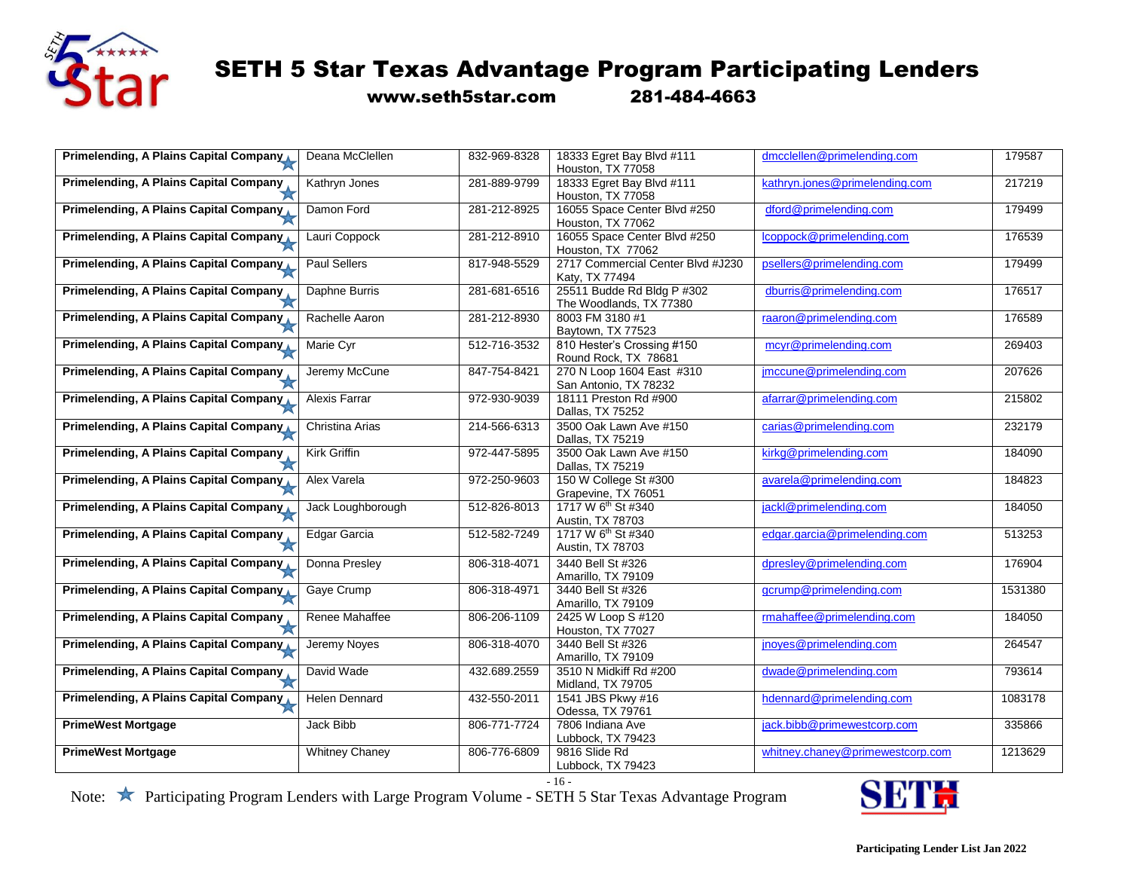

www.seth5star.com 281-484-4663

| Primelending, A Plains Capital Company        | Deana McClellen       | 832-969-8328 | 18333 Egret Bay Blvd #111                      | dmcclellen@primelending.com      | 179587  |
|-----------------------------------------------|-----------------------|--------------|------------------------------------------------|----------------------------------|---------|
|                                               |                       |              | Houston, TX 77058                              |                                  |         |
| Primelending, A Plains Capital Company        | Kathryn Jones         | 281-889-9799 | 18333 Egret Bay Blvd #111<br>Houston, TX 77058 | kathryn.jones@primelending.com   | 217219  |
| <b>Primelending, A Plains Capital Company</b> | Damon Ford            | 281-212-8925 | 16055 Space Center Blvd #250                   | dford@primelending.com           | 179499  |
|                                               |                       |              | Houston, TX 77062                              |                                  |         |
| <b>Primelending, A Plains Capital Company</b> | Lauri Coppock         | 281-212-8910 | 16055 Space Center Blvd #250                   | lcoppock@primelending.com        | 176539  |
|                                               |                       |              | Houston, TX 77062                              |                                  |         |
| Primelending, A Plains Capital Company        | Paul Sellers          | 817-948-5529 | 2717 Commercial Center Blvd #J230              | psellers@primelending.com        | 179499  |
|                                               |                       |              | Katy, TX 77494                                 |                                  |         |
| Primelending, A Plains Capital Company        | Daphne Burris         | 281-681-6516 | 25511 Budde Rd Bldg P #302                     | dburris@primelending.com         | 176517  |
|                                               |                       |              | The Woodlands, TX 77380                        |                                  |         |
| Primelending, A Plains Capital Company        | Rachelle Aaron        | 281-212-8930 | 8003 FM 3180 #1                                | raaron@primelending.com          | 176589  |
|                                               |                       |              | Baytown, TX 77523                              |                                  |         |
| <b>Primelending, A Plains Capital Company</b> | Marie Cyr             | 512-716-3532 | 810 Hester's Crossing #150                     | mcyr@primelending.com            | 269403  |
|                                               |                       |              | Round Rock, TX 78681                           |                                  |         |
| <b>Primelending, A Plains Capital Company</b> | Jeremy McCune         | 847-754-8421 | 270 N Loop 1604 East #310                      | jmccune@primelending.com         | 207626  |
|                                               |                       |              | San Antonio, TX 78232                          |                                  |         |
| Primelending, A Plains Capital Company        | Alexis Farrar         | 972-930-9039 | 18111 Preston Rd #900                          | afarrar@primelending.com         | 215802  |
|                                               |                       |              | Dallas, TX 75252                               |                                  |         |
| Primelending, A Plains Capital Company        | Christina Arias       | 214-566-6313 | 3500 Oak Lawn Ave #150                         | carias@primelending.com          | 232179  |
|                                               |                       |              | Dallas, TX 75219                               |                                  |         |
| Primelending, A Plains Capital Company        | Kirk Griffin          | 972-447-5895 | 3500 Oak Lawn Ave #150                         | kirkg@primelending.com           | 184090  |
|                                               |                       |              | Dallas, TX 75219                               |                                  |         |
| Primelending, A Plains Capital Company        | Alex Varela           | 972-250-9603 | 150 W College St #300                          | avarela@primelending.com         | 184823  |
|                                               |                       |              | Grapevine, TX 76051                            |                                  |         |
| Primelending, A Plains Capital Company        | Jack Loughborough     | 512-826-8013 | 1717 W 6 <sup>th</sup> St #340                 | jackl@primelending.com           | 184050  |
|                                               |                       |              | Austin, TX 78703                               |                                  |         |
| <b>Primelending, A Plains Capital Company</b> | Edgar Garcia          | 512-582-7249 | 1717 W 6 <sup>th</sup> St #340                 | edgar.garcia@primelending.com    | 513253  |
|                                               |                       |              | Austin, TX 78703                               |                                  |         |
| Primelending, A Plains Capital Company        | Donna Presley         | 806-318-4071 | 3440 Bell St #326                              | dpresley@primelending.com        | 176904  |
|                                               |                       |              | Amarillo, TX 79109                             |                                  |         |
| Primelending, A Plains Capital Company        | Gaye Crump            | 806-318-4971 | 3440 Bell St #326                              | gcrump@primelending.com          | 1531380 |
|                                               |                       |              | Amarillo, TX 79109                             |                                  |         |
| <b>Primelending, A Plains Capital Company</b> | Renee Mahaffee        | 806-206-1109 | 2425 W Loop S #120                             | rmahaffee@primelending.com       | 184050  |
|                                               |                       |              | Houston, TX 77027                              |                                  |         |
| Primelending, A Plains Capital Company        | Jeremy Noyes          | 806-318-4070 | 3440 Bell St #326                              | jnoyes@primelending.com          | 264547  |
|                                               |                       |              | Amarillo, TX 79109                             |                                  |         |
| Primelending, A Plains Capital Company,       | David Wade            | 432.689.2559 | 3510 N Midkiff Rd #200                         | dwade@primelending.com           | 793614  |
|                                               |                       |              | Midland, TX 79705                              |                                  |         |
| Primelending, A Plains Capital Company        | <b>Helen Dennard</b>  | 432-550-2011 | 1541 JBS Pkwy #16                              | hdennard@primelending.com        | 1083178 |
|                                               |                       |              | Odessa, TX 79761                               |                                  |         |
| <b>PrimeWest Mortgage</b>                     | Jack Bibb             | 806-771-7724 | 7806 Indiana Ave                               | jack.bibb@primewestcorp.com      | 335866  |
|                                               |                       |              | Lubbock, TX 79423                              |                                  |         |
| <b>PrimeWest Mortgage</b>                     | <b>Whitney Chaney</b> | 806-776-6809 | 9816 Slide Rd                                  | whitney.chaney@primewestcorp.com | 1213629 |
|                                               |                       |              | Lubbock, TX 79423                              |                                  |         |

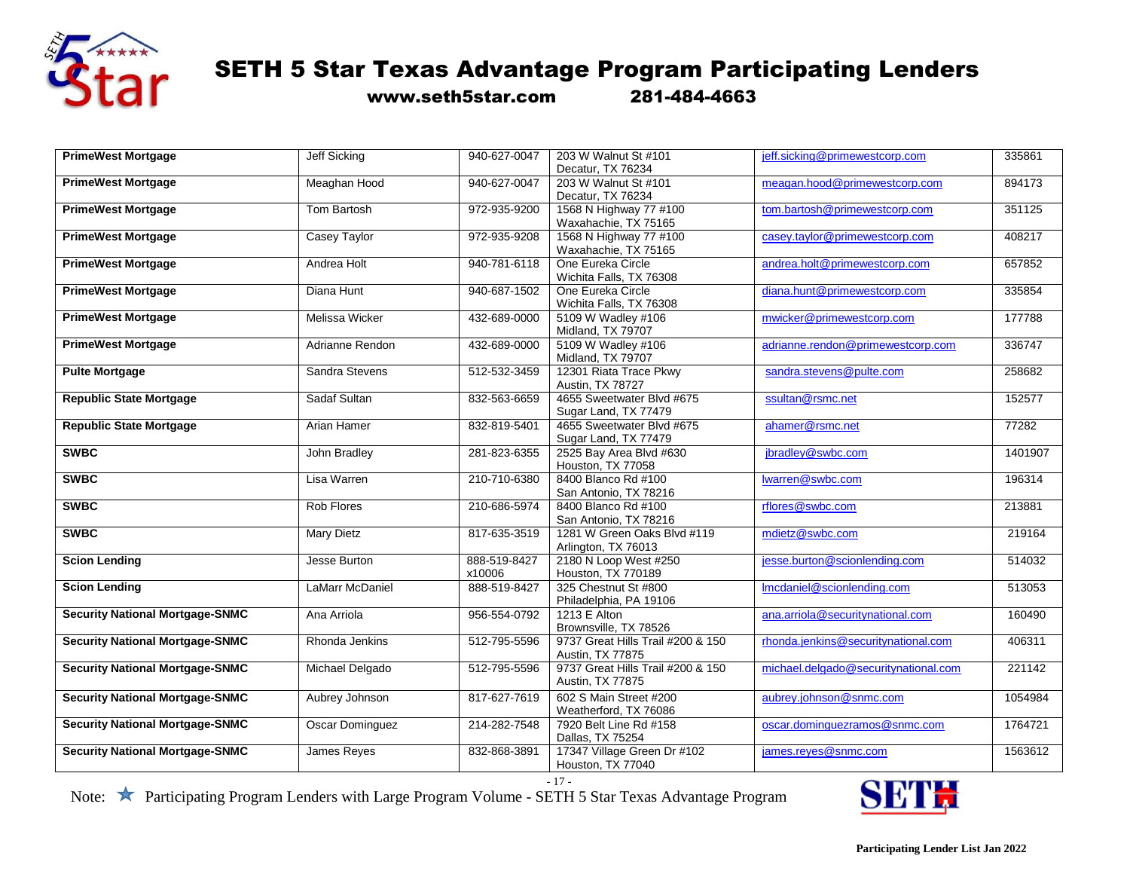

www.seth5star.com 281-484-4663

| <b>PrimeWest Mortgage</b>              | <b>Jeff Sicking</b>    | 940-627-0047 | 203 W Walnut St #101              | jeff.sicking@primewestcorp.com       | 335861  |
|----------------------------------------|------------------------|--------------|-----------------------------------|--------------------------------------|---------|
|                                        |                        |              | Decatur, TX 76234                 |                                      |         |
| <b>PrimeWest Mortgage</b>              | Meaghan Hood           | 940-627-0047 | 203 W Walnut St #101              | meagan.hood@primewestcorp.com        | 894173  |
|                                        |                        |              | Decatur, TX 76234                 |                                      |         |
| <b>PrimeWest Mortgage</b>              | Tom Bartosh            | 972-935-9200 | 1568 N Highway 77 #100            | tom.bartosh@primewestcorp.com        | 351125  |
|                                        |                        |              | Waxahachie, TX 75165              |                                      |         |
| <b>PrimeWest Mortgage</b>              | Casey Taylor           | 972-935-9208 | 1568 N Highway 77 #100            | casey.taylor@primewestcorp.com       | 408217  |
|                                        |                        |              | Waxahachie, TX 75165              |                                      |         |
| <b>PrimeWest Mortgage</b>              | Andrea Holt            | 940-781-6118 | One Eureka Circle                 | andrea.holt@primewestcorp.com        | 657852  |
|                                        |                        |              | Wichita Falls, TX 76308           |                                      |         |
| <b>PrimeWest Mortgage</b>              | Diana Hunt             | 940-687-1502 | One Eureka Circle                 | diana.hunt@primewestcorp.com         | 335854  |
|                                        |                        |              | Wichita Falls, TX 76308           |                                      |         |
| <b>PrimeWest Mortgage</b>              | <b>Melissa Wicker</b>  | 432-689-0000 | 5109 W Wadley #106                | mwicker@primewestcorp.com            | 177788  |
|                                        |                        |              | Midland, TX 79707                 |                                      |         |
| <b>PrimeWest Mortgage</b>              | Adrianne Rendon        | 432-689-0000 | 5109 W Wadley #106                | adrianne.rendon@primewestcorp.com    | 336747  |
|                                        |                        |              | Midland, TX 79707                 |                                      |         |
| <b>Pulte Mortgage</b>                  | Sandra Stevens         | 512-532-3459 | 12301 Riata Trace Pkwy            | sandra.stevens@pulte.com             | 258682  |
|                                        |                        |              | Austin, TX 78727                  |                                      |         |
| <b>Republic State Mortgage</b>         | Sadaf Sultan           | 832-563-6659 | 4655 Sweetwater Blvd #675         | ssultan@rsmc.net                     | 152577  |
|                                        |                        |              | Sugar Land, TX 77479              |                                      |         |
| <b>Republic State Mortgage</b>         | <b>Arian Hamer</b>     | 832-819-5401 | 4655 Sweetwater Blvd #675         | ahamer@rsmc.net                      | 77282   |
|                                        |                        |              | Sugar Land, TX 77479              |                                      |         |
| <b>SWBC</b>                            | John Bradley           | 281-823-6355 | 2525 Bay Area Blvd #630           | jbradley@swbc.com                    | 1401907 |
|                                        |                        |              | Houston, TX 77058                 |                                      |         |
| <b>SWBC</b>                            | Lisa Warren            | 210-710-6380 | 8400 Blanco Rd #100               | lwarren@swbc.com                     | 196314  |
|                                        |                        |              | San Antonio, TX 78216             |                                      |         |
| <b>SWBC</b>                            | <b>Rob Flores</b>      | 210-686-5974 | 8400 Blanco Rd #100               | rflores@swbc.com                     | 213881  |
|                                        |                        |              | San Antonio, TX 78216             |                                      |         |
| <b>SWBC</b>                            | <b>Mary Dietz</b>      | 817-635-3519 | 1281 W Green Oaks Blvd #119       | mdietz@swbc.com                      | 219164  |
|                                        |                        |              | Arlington, TX 76013               |                                      |         |
| <b>Scion Lending</b>                   | Jesse Burton           | 888-519-8427 | 2180 N Loop West #250             | jesse.burton@scionlending.com        | 514032  |
|                                        |                        | x10006       | <b>Houston, TX 770189</b>         |                                      |         |
| <b>Scion Lending</b>                   | <b>LaMarr McDaniel</b> | 888-519-8427 | 325 Chestnut St #800              | Imcdaniel@scionlending.com           | 513053  |
|                                        |                        |              | Philadelphia, PA 19106            |                                      |         |
| <b>Security National Mortgage-SNMC</b> | Ana Arriola            | 956-554-0792 | 1213 E Alton                      | ana.arriola@securitynational.com     | 160490  |
|                                        |                        |              | Brownsville, TX 78526             |                                      |         |
| <b>Security National Mortgage-SNMC</b> | Rhonda Jenkins         | 512-795-5596 | 9737 Great Hills Trail #200 & 150 | rhonda.jenkins@securitynational.com  | 406311  |
|                                        |                        |              | Austin, TX 77875                  |                                      |         |
| <b>Security National Mortgage-SNMC</b> | Michael Delgado        | 512-795-5596 | 9737 Great Hills Trail #200 & 150 | michael.delgado@securitynational.com | 221142  |
|                                        |                        |              | Austin, TX 77875                  |                                      |         |
| <b>Security National Mortgage-SNMC</b> | Aubrey Johnson         | 817-627-7619 | 602 S Main Street #200            | aubrey.johnson@snmc.com              | 1054984 |
|                                        |                        |              | Weatherford, TX 76086             |                                      |         |
| <b>Security National Mortgage-SNMC</b> | <b>Oscar Dominguez</b> | 214-282-7548 | 7920 Belt Line Rd #158            | oscar.dominguezramos@snmc.com        | 1764721 |
|                                        |                        |              | Dallas, TX 75254                  |                                      |         |
| <b>Security National Mortgage-SNMC</b> | James Reyes            | 832-868-3891 | 17347 Village Green Dr #102       | james.reyes@snmc.com                 | 1563612 |
|                                        |                        |              | Houston, TX 77040                 |                                      |         |

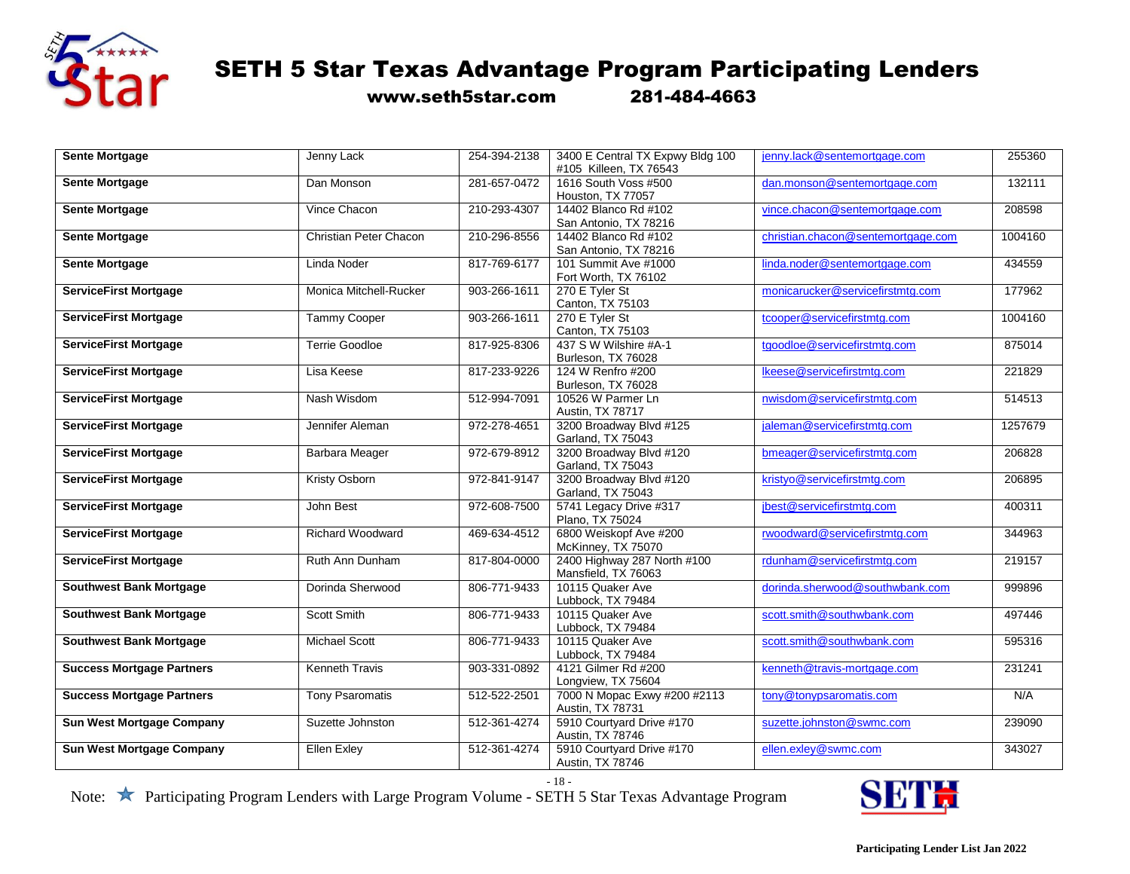

www.seth5star.com 281-484-4663

| <b>Sente Mortgage</b>            | Jenny Lack              | 254-394-2138 | 3400 E Central TX Expwy Bldg 100 | jenny.lack@sentemortgage.com       | 255360  |
|----------------------------------|-------------------------|--------------|----------------------------------|------------------------------------|---------|
|                                  |                         |              | #105 Killeen, TX 76543           |                                    |         |
| <b>Sente Mortgage</b>            | Dan Monson              | 281-657-0472 | 1616 South Voss #500             | dan.monson@sentemortgage.com       | 132111  |
|                                  |                         |              | Houston, TX 77057                |                                    |         |
| <b>Sente Mortgage</b>            | Vince Chacon            | 210-293-4307 | 14402 Blanco Rd #102             | vince.chacon@sentemortgage.com     | 208598  |
|                                  |                         |              | San Antonio, TX 78216            |                                    |         |
|                                  | Christian Peter Chacon  | 210-296-8556 | 14402 Blanco Rd #102             | christian.chacon@sentemortgage.com | 1004160 |
| <b>Sente Mortgage</b>            |                         |              |                                  |                                    |         |
|                                  |                         |              | San Antonio, TX 78216            |                                    |         |
| <b>Sente Mortgage</b>            | Linda Noder             | 817-769-6177 | 101 Summit Ave #1000             | linda.noder@sentemortgage.com      | 434559  |
|                                  |                         |              | Fort Worth, TX 76102             |                                    |         |
| <b>ServiceFirst Mortgage</b>     | Monica Mitchell-Rucker  | 903-266-1611 | 270 E Tyler St                   | monicarucker@servicefirstmtg.com   | 177962  |
|                                  |                         |              | Canton, TX 75103                 |                                    |         |
|                                  |                         |              |                                  |                                    |         |
| <b>ServiceFirst Mortgage</b>     | Tammy Cooper            | 903-266-1611 | 270 E Tyler St                   | tcooper@servicefirstmtg.com        | 1004160 |
|                                  |                         |              | Canton, TX 75103                 |                                    |         |
| <b>ServiceFirst Mortgage</b>     | <b>Terrie Goodloe</b>   | 817-925-8306 | 437 S W Wilshire #A-1            | tgoodloe@servicefirstmtg.com       | 875014  |
|                                  |                         |              | Burleson, TX 76028               |                                    |         |
| <b>ServiceFirst Mortgage</b>     | Lisa Keese              | 817-233-9226 | 124 W Renfro #200                | Ikeese@servicefirstmtg.com         | 221829  |
|                                  |                         |              |                                  |                                    |         |
|                                  |                         |              | Burleson, TX 76028               |                                    |         |
| <b>ServiceFirst Mortgage</b>     | Nash Wisdom             | 512-994-7091 | 10526 W Parmer Ln                | nwisdom@servicefirstmtg.com        | 514513  |
|                                  |                         |              | Austin, TX 78717                 |                                    |         |
| <b>ServiceFirst Mortgage</b>     | Jennifer Aleman         | 972-278-4651 | 3200 Broadway Blvd #125          | jaleman@servicefirstmtg.com        | 1257679 |
|                                  |                         |              | Garland, TX 75043                |                                    |         |
|                                  |                         |              |                                  |                                    |         |
| <b>ServiceFirst Mortgage</b>     | <b>Barbara Meager</b>   | 972-679-8912 | 3200 Broadway Blvd #120          | bmeager@servicefirstmtg.com        | 206828  |
|                                  |                         |              | Garland, TX 75043                |                                    |         |
| <b>ServiceFirst Mortgage</b>     | Kristy Osborn           | 972-841-9147 | 3200 Broadway Blvd #120          | kristyo@servicefirstmtg.com        | 206895  |
|                                  |                         |              | Garland, TX 75043                |                                    |         |
| <b>ServiceFirst Mortgage</b>     | John Best               | 972-608-7500 | 5741 Legacy Drive #317           | jbest@servicefirstmtg.com          | 400311  |
|                                  |                         |              |                                  |                                    |         |
|                                  |                         |              | Plano, TX 75024                  |                                    |         |
| <b>ServiceFirst Mortgage</b>     | <b>Richard Woodward</b> | 469-634-4512 | 6800 Weiskopf Ave #200           | rwoodward@servicefirstmtg.com      | 344963  |
|                                  |                         |              | McKinney, TX 75070               |                                    |         |
| <b>ServiceFirst Mortgage</b>     | Ruth Ann Dunham         | 817-804-0000 | 2400 Highway 287 North #100      | rdunham@servicefirstmtg.com        | 219157  |
|                                  |                         |              | Mansfield, TX 76063              |                                    |         |
|                                  |                         |              |                                  |                                    | 999896  |
| <b>Southwest Bank Mortgage</b>   | Dorinda Sherwood        | 806-771-9433 | 10115 Quaker Ave                 | dorinda.sherwood@southwbank.com    |         |
|                                  |                         |              | Lubbock, TX 79484                |                                    |         |
| <b>Southwest Bank Mortgage</b>   | Scott Smith             | 806-771-9433 | 10115 Quaker Ave                 | scott.smith@southwbank.com         | 497446  |
|                                  |                         |              | Lubbock, TX 79484                |                                    |         |
| <b>Southwest Bank Mortgage</b>   | <b>Michael Scott</b>    | 806-771-9433 | 10115 Quaker Ave                 | scott.smith@southwbank.com         | 595316  |
|                                  |                         |              | Lubbock, TX 79484                |                                    |         |
|                                  |                         |              |                                  |                                    |         |
| <b>Success Mortgage Partners</b> | <b>Kenneth Travis</b>   | 903-331-0892 | 4121 Gilmer Rd #200              | kenneth@travis-mortgage.com        | 231241  |
|                                  |                         |              | Longview, TX 75604               |                                    |         |
| <b>Success Mortgage Partners</b> | <b>Tony Psaromatis</b>  | 512-522-2501 | 7000 N Mopac Exwy #200 #2113     | tony@tonypsaromatis.com            | N/A     |
|                                  |                         |              | Austin, TX 78731                 |                                    |         |
|                                  |                         | 512-361-4274 | 5910 Courtyard Drive #170        |                                    |         |
| <b>Sun West Mortgage Company</b> | Suzette Johnston        |              |                                  | suzette.johnston@swmc.com          | 239090  |
|                                  |                         |              | Austin, TX 78746                 |                                    |         |
| <b>Sun West Mortgage Company</b> | <b>Ellen Exley</b>      | 512-361-4274 | 5910 Courtyard Drive #170        | ellen.exley@swmc.com               | 343027  |
|                                  |                         |              | Austin, TX 78746                 |                                    |         |

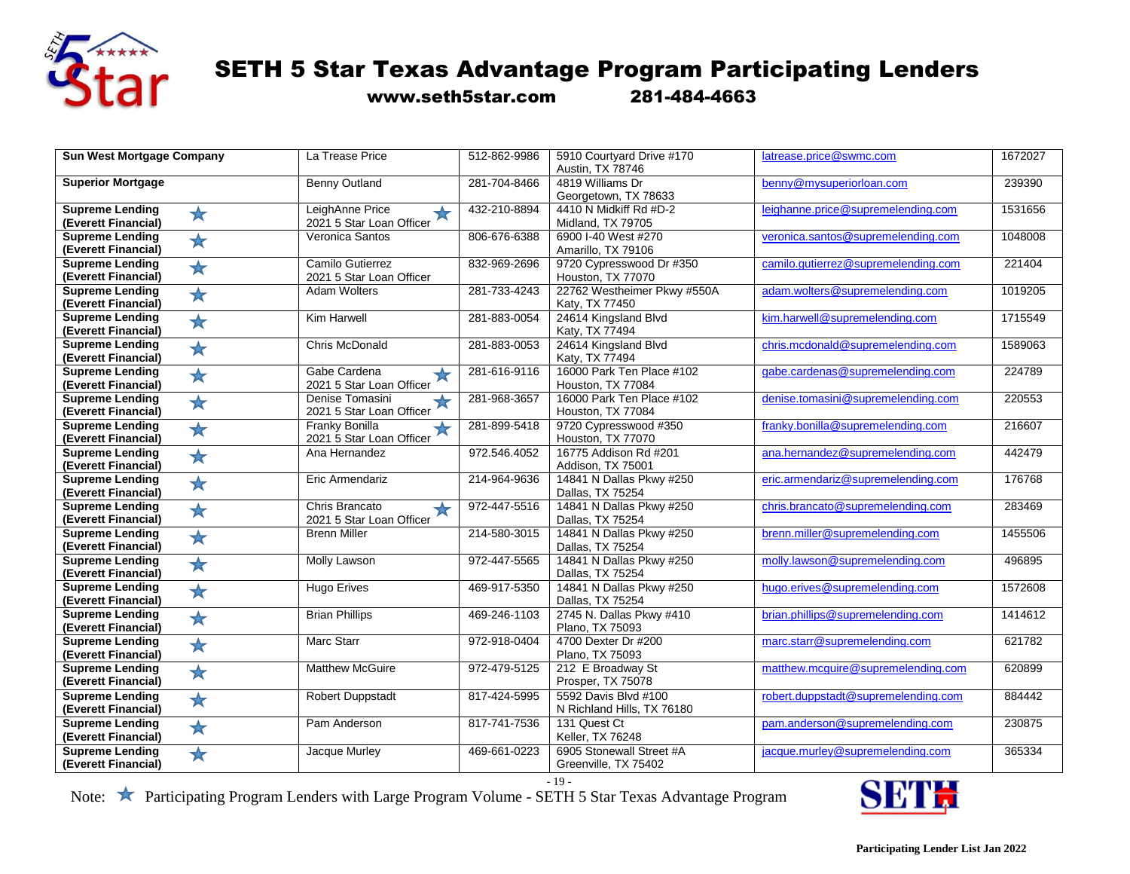

www.seth5star.com 281-484-4663

| <b>Sun West Mortgage Company</b>                            | La Trease Price                                              | 512-862-9986 | 5910 Courtyard Drive #170<br>Austin, TX 78746      | latrease.price@swmc.com             | 1672027 |
|-------------------------------------------------------------|--------------------------------------------------------------|--------------|----------------------------------------------------|-------------------------------------|---------|
| <b>Superior Mortgage</b>                                    | <b>Benny Outland</b>                                         | 281-704-8466 | 4819 Williams Dr<br>Georgetown, TX 78633           | benny@mysuperiorloan.com            | 239390  |
| <b>Supreme Lending</b><br>$\bigstar$<br>(Everett Financial) | LeighAnne Price<br>$\bigstar$<br>2021 5 Star Loan Officer    | 432-210-8894 | 4410 N Midkiff Rd #D-2<br>Midland, TX 79705        | leighanne.price@supremelending.com  | 1531656 |
| <b>Supreme Lending</b><br>★<br>(Everett Financial)          | Veronica Santos                                              | 806-676-6388 | 6900 I-40 West #270<br>Amarillo, TX 79106          | veronica.santos@supremelending.com  | 1048008 |
| <b>Supreme Lending</b><br>$\bigstar$<br>(Everett Financial) | Camilo Gutierrez<br>2021 5 Star Loan Officer                 | 832-969-2696 | 9720 Cypresswood Dr #350<br>Houston, TX 77070      | camilo.qutierrez@supremelending.com | 221404  |
| <b>Supreme Lending</b><br>★<br>(Everett Financial)          | <b>Adam Wolters</b>                                          | 281-733-4243 | 22762 Westheimer Pkwy #550A<br>Katy, TX 77450      | adam.wolters@supremelending.com     | 1019205 |
| <b>Supreme Lending</b><br>$\bigstar$<br>(Everett Financial) | Kim Harwell                                                  | 281-883-0054 | 24614 Kingsland Blvd<br>Katy, TX 77494             | kim.harwell@supremelending.com      | 1715549 |
| <b>Supreme Lending</b><br>★<br>(Everett Financial)          | <b>Chris McDonald</b>                                        | 281-883-0053 | 24614 Kingsland Blvd<br>Katy, TX 77494             | chris.mcdonald@supremelending.com   | 1589063 |
| <b>Supreme Lending</b><br>$\bigstar$<br>(Everett Financial) | Gabe Cardena<br>$\bigstar$<br>2021 5 Star Loan Officer       | 281-616-9116 | 16000 Park Ten Place #102<br>Houston, TX 77084     | gabe.cardenas@supremelending.com    | 224789  |
| <b>Supreme Lending</b><br>$\bigstar$<br>(Everett Financial) | Denise Tomasini<br>╈<br>2021 5 Star Loan Officer             | 281-968-3657 | 16000 Park Ten Place #102<br>Houston, TX 77084     | denise.tomasini@supremelending.com  | 220553  |
| <b>Supreme Lending</b><br>$\bigstar$<br>(Everett Financial) | <b>Franky Bonilla</b><br>$\star$<br>2021 5 Star Loan Officer | 281-899-5418 | 9720 Cypresswood #350<br>Houston, TX 77070         | franky.bonilla@supremelending.com   | 216607  |
| <b>Supreme Lending</b><br>$\bigstar$<br>(Everett Financial) | Ana Hernandez                                                | 972.546.4052 | 16775 Addison Rd #201<br>Addison, TX 75001         | ana.hernandez@supremelending.com    | 442479  |
| <b>Supreme Lending</b><br>$\bigstar$<br>(Everett Financial) | Eric Armendariz                                              | 214-964-9636 | 14841 N Dallas Pkwy #250<br>Dallas, TX 75254       | eric.armendariz@supremelending.com  | 176768  |
| <b>Supreme Lending</b><br>$\bigstar$<br>(Everett Financial) | Chris Brancato<br>$\bigstar$<br>2021 5 Star Loan Officer     | 972-447-5516 | 14841 N Dallas Pkwy #250<br>Dallas, TX 75254       | chris.brancato@supremelending.com   | 283469  |
| <b>Supreme Lending</b><br>$\bigstar$<br>(Everett Financial) | <b>Brenn Miller</b>                                          | 214-580-3015 | 14841 N Dallas Pkwy #250<br>Dallas, TX 75254       | brenn.miller@supremelending.com     | 1455506 |
| <b>Supreme Lending</b><br>$\bigstar$<br>(Everett Financial) | Molly Lawson                                                 | 972-447-5565 | 14841 N Dallas Pkwy #250<br>Dallas, TX 75254       | molly.lawson@supremelending.com     | 496895  |
| <b>Supreme Lending</b><br>$\bigstar$<br>(Everett Financial) | <b>Hugo Erives</b>                                           | 469-917-5350 | 14841 N Dallas Pkwy #250<br>Dallas, TX 75254       | hugo.erives@supremelending.com      | 1572608 |
| <b>Supreme Lending</b><br>$\bigstar$<br>(Everett Financial) | <b>Brian Phillips</b>                                        | 469-246-1103 | 2745 N. Dallas Pkwy #410<br>Plano, TX 75093        | brian.phillips@supremelending.com   | 1414612 |
| <b>Supreme Lending</b><br>★<br>(Everett Financial)          | <b>Marc Starr</b>                                            | 972-918-0404 | 4700 Dexter Dr #200<br>Plano, TX 75093             | marc.starr@supremelending.com       | 621782  |
| <b>Supreme Lending</b><br>$\bigstar$<br>(Everett Financial) | <b>Matthew McGuire</b>                                       | 972-479-5125 | 212 E Broadway St<br>Prosper, TX 75078             | matthew.mcquire@supremelending.com  | 620899  |
| <b>Supreme Lending</b><br>$\bigstar$<br>(Everett Financial) | <b>Robert Duppstadt</b>                                      | 817-424-5995 | 5592 Davis Blvd #100<br>N Richland Hills, TX 76180 | robert.duppstadt@supremelending.com | 884442  |
| <b>Supreme Lending</b><br>$\bigstar$<br>(Everett Financial) | Pam Anderson                                                 | 817-741-7536 | 131 Quest Ct<br>Keller, TX 76248                   | pam.anderson@supremelending.com     | 230875  |
| <b>Supreme Lending</b><br>$\bigstar$<br>(Everett Financial) | Jacque Murley                                                | 469-661-0223 | 6905 Stonewall Street #A<br>Greenville, TX 75402   | jacque.murley@supremelending.com    | 365334  |

- 19 -

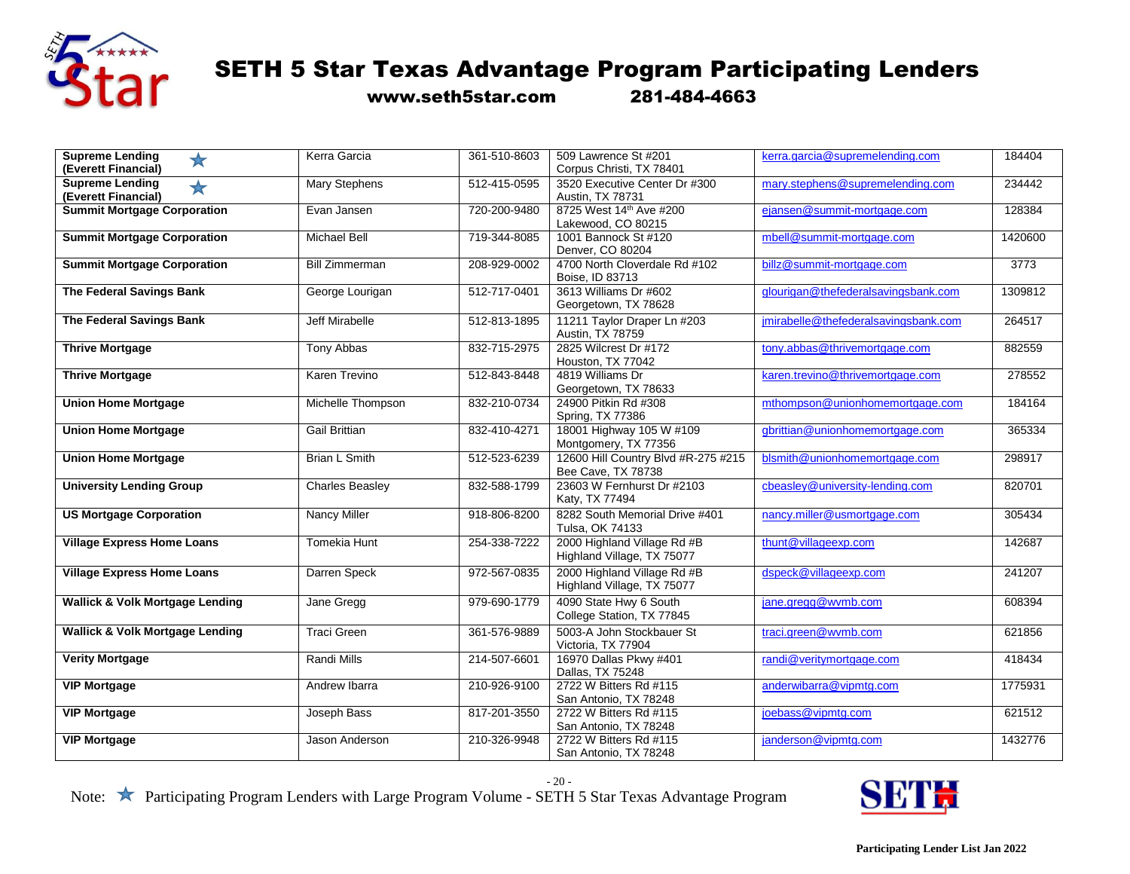

www.seth5star.com 281-484-4663

| <b>Supreme Lending</b><br>★<br>(Everett Financial)          | Kerra Garcia           | 361-510-8603 | 509 Lawrence St #201<br>Corpus Christi, TX 78401          | kerra.garcia@supremelending.com      | 184404  |
|-------------------------------------------------------------|------------------------|--------------|-----------------------------------------------------------|--------------------------------------|---------|
| <b>Supreme Lending</b><br>$\bigstar$<br>(Everett Financial) | Mary Stephens          | 512-415-0595 | 3520 Executive Center Dr #300<br>Austin, TX 78731         | mary.stephens@supremelending.com     | 234442  |
| <b>Summit Mortgage Corporation</b>                          | Evan Jansen            | 720-200-9480 | 8725 West 14 <sup>th</sup> Ave #200<br>Lakewood, CO 80215 | ejansen@summit-mortgage.com          | 128384  |
| <b>Summit Mortgage Corporation</b>                          | <b>Michael Bell</b>    | 719-344-8085 | 1001 Bannock St #120<br>Denver, CO 80204                  | mbell@summit-mortgage.com            | 1420600 |
| <b>Summit Mortgage Corporation</b>                          | <b>Bill Zimmerman</b>  | 208-929-0002 | 4700 North Cloverdale Rd #102<br>Boise, ID 83713          | billz@summit-mortgage.com            | 3773    |
| The Federal Savings Bank                                    | George Lourigan        | 512-717-0401 | 3613 Williams Dr #602<br>Georgetown, TX 78628             | glourigan@thefederalsavingsbank.com  | 1309812 |
| The Federal Savings Bank                                    | Jeff Mirabelle         | 512-813-1895 | 11211 Taylor Draper Ln #203<br>Austin, TX 78759           | jmirabelle@thefederalsavingsbank.com | 264517  |
| <b>Thrive Mortgage</b>                                      | Tony Abbas             | 832-715-2975 | 2825 Wilcrest Dr #172<br>Houston, TX 77042                | tony.abbas@thrivemortgage.com        | 882559  |
| <b>Thrive Mortgage</b>                                      | Karen Trevino          | 512-843-8448 | 4819 Williams Dr<br>Georgetown, TX 78633                  | karen.trevino@thrivemortgage.com     | 278552  |
| <b>Union Home Mortgage</b>                                  | Michelle Thompson      | 832-210-0734 | 24900 Pitkin Rd #308<br>Spring, TX 77386                  | mthompson@unionhomemortgage.com      | 184164  |
| <b>Union Home Mortgage</b>                                  | <b>Gail Brittian</b>   | 832-410-4271 | 18001 Highway 105 W #109<br>Montgomery, TX 77356          | gbrittian@unionhomemortgage.com      | 365334  |
| <b>Union Home Mortgage</b>                                  | <b>Brian L Smith</b>   | 512-523-6239 | 12600 Hill Country Blvd #R-275 #215<br>Bee Cave, TX 78738 | blsmith@unionhomemortgage.com        | 298917  |
| <b>University Lending Group</b>                             | <b>Charles Beasley</b> | 832-588-1799 | 23603 W Fernhurst Dr #2103<br>Katy, TX 77494              | cbeasley@university-lending.com      | 820701  |
| <b>US Mortgage Corporation</b>                              | <b>Nancy Miller</b>    | 918-806-8200 | 8282 South Memorial Drive #401<br>Tulsa, OK 74133         | nancy.miller@usmortgage.com          | 305434  |
| <b>Village Express Home Loans</b>                           | <b>Tomekia Hunt</b>    | 254-338-7222 | 2000 Highland Village Rd #B<br>Highland Village, TX 75077 | thunt@villageexp.com                 | 142687  |
| <b>Village Express Home Loans</b>                           | Darren Speck           | 972-567-0835 | 2000 Highland Village Rd #B<br>Highland Village, TX 75077 | dspeck@villageexp.com                | 241207  |
| <b>Wallick &amp; Volk Mortgage Lending</b>                  | Jane Gregg             | 979-690-1779 | 4090 State Hwy 6 South<br>College Station, TX 77845       | jane.gregg@wvmb.com                  | 608394  |
| <b>Wallick &amp; Volk Mortgage Lending</b>                  | <b>Traci Green</b>     | 361-576-9889 | 5003-A John Stockbauer St<br>Victoria, TX 77904           | traci.green@wvmb.com                 | 621856  |
| <b>Verity Mortgage</b>                                      | <b>Randi Mills</b>     | 214-507-6601 | 16970 Dallas Pkwy #401<br>Dallas, TX 75248                | randi@veritymortgage.com             | 418434  |
| <b>VIP Mortgage</b>                                         | Andrew Ibarra          | 210-926-9100 | 2722 W Bitters Rd #115<br>San Antonio, TX 78248           | anderwibarra@vipmtg.com              | 1775931 |
| <b>VIP Mortgage</b>                                         | Joseph Bass            | 817-201-3550 | 2722 W Bitters Rd #115<br>San Antonio, TX 78248           | joebass@vipmtg.com                   | 621512  |
| <b>VIP Mortgage</b>                                         | Jason Anderson         | 210-326-9948 | 2722 W Bitters Rd #115<br>San Antonio, TX 78248           | janderson@vipmtg.com                 | 1432776 |